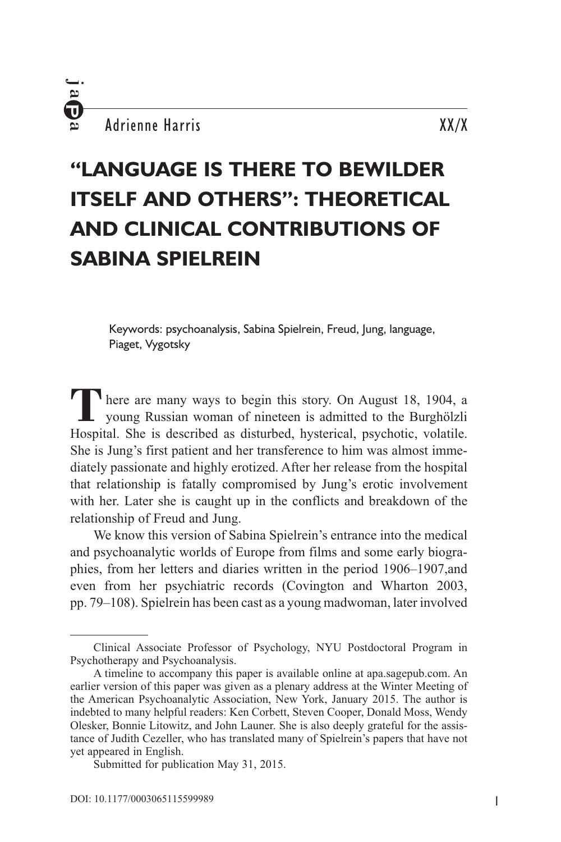. ت

# **"Language is There to Bewilder Itself and Others": Theoretical and Clinical Contributions of Sabina Spielrein**

Keywords: psychoanalysis, Sabina Spielrein, Freud, Jung, language, Piaget, Vygotsky

There are many ways to begin this story. On August 18, 1904, a young Russian woman of nineteen is admitted to the Burghölzli Hospital. She is described as disturbed, hysterical, psychotic, volatile. She is Jung's first patient and her transference to him was almost immediately passionate and highly erotized. After her release from the hospital that relationship is fatally compromised by Jung's erotic involvement with her. Later she is caught up in the conflicts and breakdown of the relationship of Freud and Jung.

We know this version of Sabina Spielrein's entrance into the medical and psychoanalytic worlds of Europe from films and some early biographies, from her letters and diaries written in the period 1906–1907,and even from her psychiatric records (Covington and Wharton 2003, pp. 79–108). Spielrein has been cast as a young madwoman, later involved

Clinical Associate Professor of Psychology, NYU Postdoctoral Program in Psychotherapy and Psychoanalysis.

A timeline to accompany this paper is available online at apa.sagepub.com. An earlier version of this paper was given as a plenary address at the Winter Meeting of the American Psychoanalytic Association, New York, January 2015. The author is indebted to many helpful readers: Ken Corbett, Steven Cooper, Donald Moss, Wendy Olesker, Bonnie Litowitz, and John Launer. She is also deeply grateful for the assistance of Judith Cezeller, who has translated many of Spielrein's papers that have not yet appeared in English.

Submitted for publication May 31, 2015.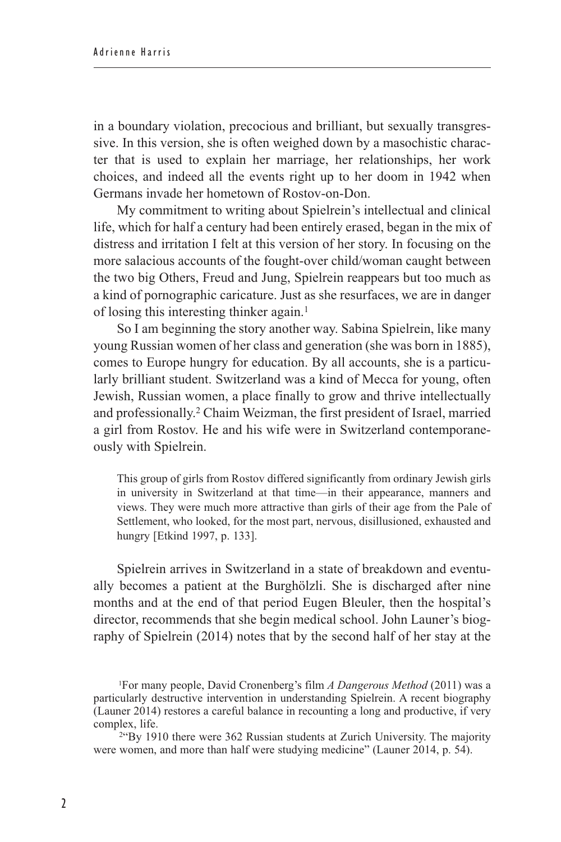in a boundary violation, precocious and brilliant, but sexually transgressive. In this version, she is often weighed down by a masochistic character that is used to explain her marriage, her relationships, her work choices, and indeed all the events right up to her doom in 1942 when Germans invade her hometown of Rostov-on-Don.

My commitment to writing about Spielrein's intellectual and clinical life, which for half a century had been entirely erased, began in the mix of distress and irritation I felt at this version of her story. In focusing on the more salacious accounts of the fought-over child/woman caught between the two big Others, Freud and Jung, Spielrein reappears but too much as a kind of pornographic caricature. Just as she resurfaces, we are in danger of losing this interesting thinker again.<sup>1</sup>

So I am beginning the story another way. Sabina Spielrein, like many young Russian women of her class and generation (she was born in 1885), comes to Europe hungry for education. By all accounts, she is a particularly brilliant student. Switzerland was a kind of Mecca for young, often Jewish, Russian women, a place finally to grow and thrive intellectually and professionally.2 Chaim Weizman, the first president of Israel, married a girl from Rostov. He and his wife were in Switzerland contemporaneously with Spielrein.

This group of girls from Rostov differed significantly from ordinary Jewish girls in university in Switzerland at that time—in their appearance, manners and views. They were much more attractive than girls of their age from the Pale of Settlement, who looked, for the most part, nervous, disillusioned, exhausted and hungry [Etkind 1997, p. 133].

Spielrein arrives in Switzerland in a state of breakdown and eventually becomes a patient at the Burghölzli. She is discharged after nine months and at the end of that period Eugen Bleuler, then the hospital's director, recommends that she begin medical school. John Launer's biography of Spielrein (2014) notes that by the second half of her stay at the

2"By 1910 there were 362 Russian students at Zurich University. The majority were women, and more than half were studying medicine" (Launer 2014, p. 54).

<sup>1</sup>For many people, David Cronenberg's film *A Dangerous Method* (2011) was a particularly destructive intervention in understanding Spielrein. A recent biography (Launer 2014) restores a careful balance in recounting a long and productive, if very complex, life.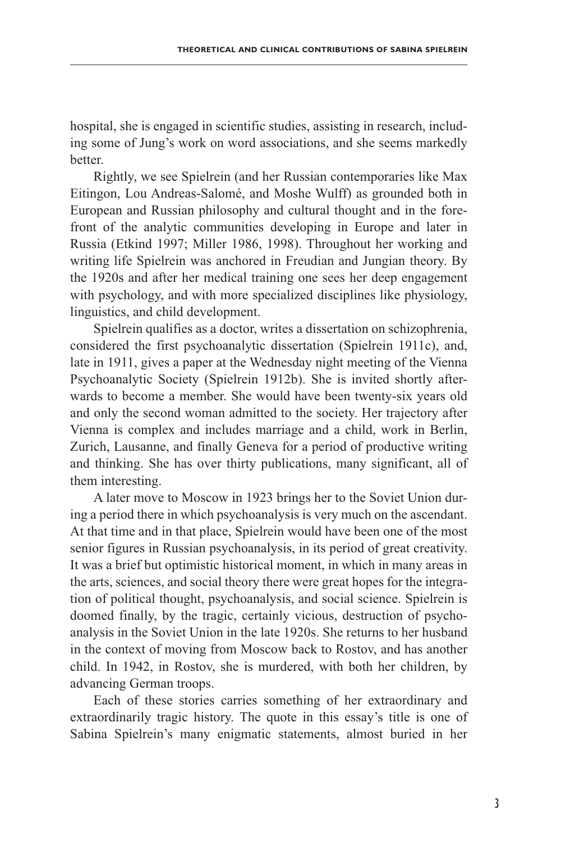hospital, she is engaged in scientific studies, assisting in research, including some of Jung's work on word associations, and she seems markedly **better** 

Rightly, we see Spielrein (and her Russian contemporaries like Max Eitingon, Lou Andreas-Salomé, and Moshe Wulff) as grounded both in European and Russian philosophy and cultural thought and in the forefront of the analytic communities developing in Europe and later in Russia (Etkind 1997; Miller 1986, 1998). Throughout her working and writing life Spielrein was anchored in Freudian and Jungian theory. By the 1920s and after her medical training one sees her deep engagement with psychology, and with more specialized disciplines like physiology, linguistics, and child development.

Spielrein qualifies as a doctor, writes a dissertation on schizophrenia, considered the first psychoanalytic dissertation (Spielrein 1911c), and, late in 1911, gives a paper at the Wednesday night meeting of the Vienna Psychoanalytic Society (Spielrein 1912b). She is invited shortly afterwards to become a member. She would have been twenty-six years old and only the second woman admitted to the society. Her trajectory after Vienna is complex and includes marriage and a child, work in Berlin, Zurich, Lausanne, and finally Geneva for a period of productive writing and thinking. She has over thirty publications, many significant, all of them interesting.

A later move to Moscow in 1923 brings her to the Soviet Union during a period there in which psychoanalysis is very much on the ascendant. At that time and in that place, Spielrein would have been one of the most senior figures in Russian psychoanalysis, in its period of great creativity. It was a brief but optimistic historical moment, in which in many areas in the arts, sciences, and social theory there were great hopes for the integration of political thought, psychoanalysis, and social science. Spielrein is doomed finally, by the tragic, certainly vicious, destruction of psychoanalysis in the Soviet Union in the late 1920s. She returns to her husband in the context of moving from Moscow back to Rostov, and has another child. In 1942, in Rostov, she is murdered, with both her children, by advancing German troops.

Each of these stories carries something of her extraordinary and extraordinarily tragic history. The quote in this essay's title is one of Sabina Spielrein's many enigmatic statements, almost buried in her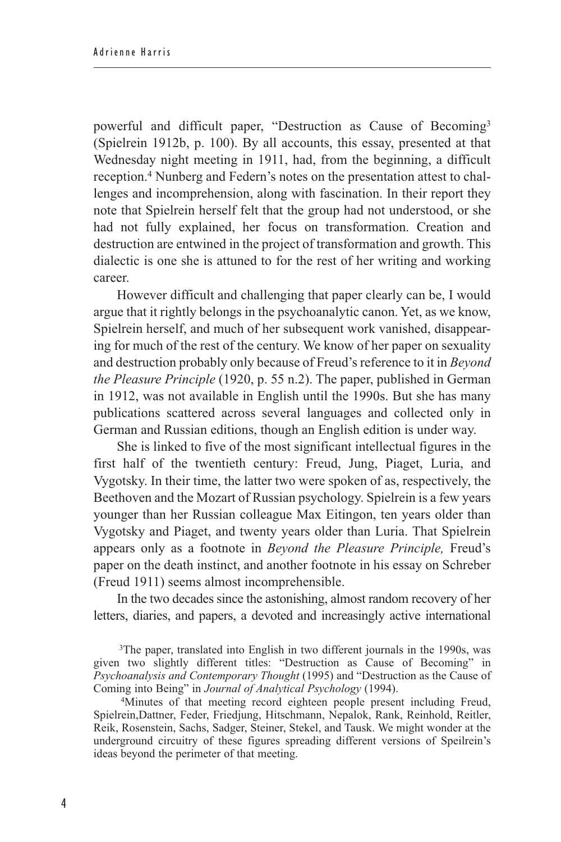powerful and difficult paper, "Destruction as Cause of Becoming3 (Spielrein 1912b, p. 100). By all accounts, this essay, presented at that Wednesday night meeting in 1911, had, from the beginning, a difficult reception.4 Nunberg and Federn's notes on the presentation attest to challenges and incomprehension, along with fascination. In their report they note that Spielrein herself felt that the group had not understood, or she had not fully explained, her focus on transformation. Creation and destruction are entwined in the project of transformation and growth. This dialectic is one she is attuned to for the rest of her writing and working career.

However difficult and challenging that paper clearly can be, I would argue that it rightly belongs in the psychoanalytic canon. Yet, as we know, Spielrein herself, and much of her subsequent work vanished, disappearing for much of the rest of the century. We know of her paper on sexuality and destruction probably only because of Freud's reference to it in *Beyond the Pleasure Principle* (1920, p. 55 n.2). The paper, published in German in 1912, was not available in English until the 1990s. But she has many publications scattered across several languages and collected only in German and Russian editions, though an English edition is under way.

She is linked to five of the most significant intellectual figures in the first half of the twentieth century: Freud, Jung, Piaget, Luria, and Vygotsky. In their time, the latter two were spoken of as, respectively, the Beethoven and the Mozart of Russian psychology. Spielrein is a few years younger than her Russian colleague Max Eitingon, ten years older than Vygotsky and Piaget, and twenty years older than Luria. That Spielrein appears only as a footnote in *Beyond the Pleasure Principle,* Freud's paper on the death instinct, and another footnote in his essay on Schreber (Freud 1911) seems almost incomprehensible.

In the two decades since the astonishing, almost random recovery of her letters, diaries, and papers, a devoted and increasingly active international

3The paper, translated into English in two different journals in the 1990s, was given two slightly different titles: "Destruction as Cause of Becoming" in *Psychoanalysis and Contemporary Thought* (1995) and "Destruction as the Cause of

<sup>4</sup>Minutes of that meeting record eighteen people present including Freud, Spielrein,Dattner, Feder, Friedjung, Hitschmann, Nepalok, Rank, Reinhold, Reitler, Reik, Rosenstein, Sachs, Sadger, Steiner, Stekel, and Tausk. We might wonder at the underground circuitry of these figures spreading different versions of Speilrein's ideas beyond the perimeter of that meeting.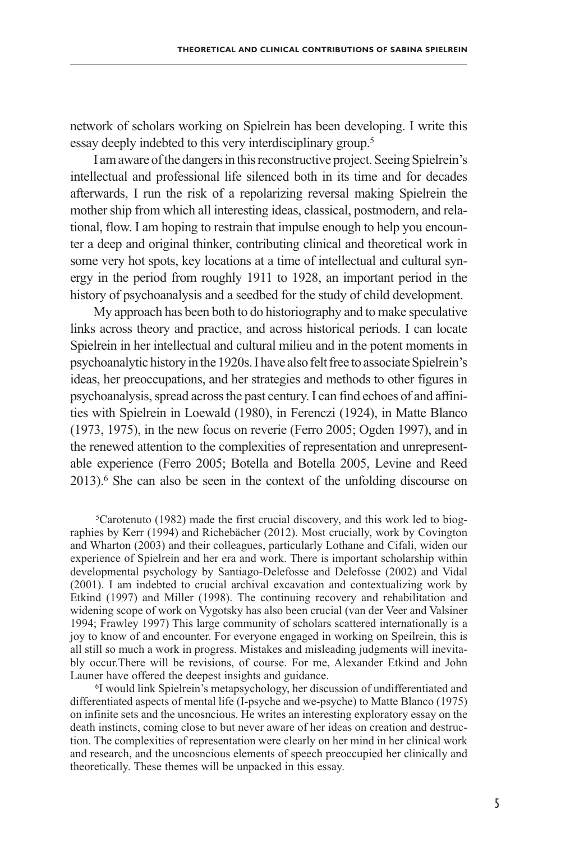network of scholars working on Spielrein has been developing. I write this essay deeply indebted to this very interdisciplinary group.5

I am aware of the dangers in this reconstructive project. Seeing Spielrein's intellectual and professional life silenced both in its time and for decades afterwards, I run the risk of a repolarizing reversal making Spielrein the mother ship from which all interesting ideas, classical, postmodern, and relational, flow. I am hoping to restrain that impulse enough to help you encounter a deep and original thinker, contributing clinical and theoretical work in some very hot spots, key locations at a time of intellectual and cultural synergy in the period from roughly 1911 to 1928, an important period in the history of psychoanalysis and a seedbed for the study of child development.

My approach has been both to do historiography and to make speculative links across theory and practice, and across historical periods. I can locate Spielrein in her intellectual and cultural milieu and in the potent moments in psychoanalytic history in the 1920s. I have also felt free to associate Spielrein's ideas, her preoccupations, and her strategies and methods to other figures in psychoanalysis, spread across the past century. I can find echoes of and affinities with Spielrein in Loewald (1980), in Ferenczi (1924), in Matte Blanco (1973, 1975), in the new focus on reverie (Ferro 2005; Ogden 1997), and in the renewed attention to the complexities of representation and unrepresentable experience (Ferro 2005; Botella and Botella 2005, Levine and Reed 2013).6 She can also be seen in the context of the unfolding discourse on

5Carotenuto (1982) made the first crucial discovery, and this work led to biographies by Kerr (1994) and Richebächer (2012). Most crucially, work by Covington and Wharton (2003) and their colleagues, particularly Lothane and Cifali, widen our experience of Spielrein and her era and work. There is important scholarship within developmental psychology by Santiago-Delefosse and Delefosse (2002) and Vidal (2001). I am indebted to crucial archival excavation and contextualizing work by Etkind (1997) and Miller (1998). The continuing recovery and rehabilitation and widening scope of work on Vygotsky has also been crucial (van der Veer and Valsiner 1994; Frawley 1997) This large community of scholars scattered internationally is a joy to know of and encounter. For everyone engaged in working on Speilrein, this is all still so much a work in progress. Mistakes and misleading judgments will inevitably occur.There will be revisions, of course. For me, Alexander Etkind and John Launer have offered the deepest insights and guidance.

6I would link Spielrein's metapsychology, her discussion of undifferentiated and differentiated aspects of mental life (I-psyche and we-psyche) to Matte Blanco (1975) on infinite sets and the uncosncious. He writes an interesting exploratory essay on the death instincts, coming close to but never aware of her ideas on creation and destruction. The complexities of representation were clearly on her mind in her clinical work and research, and the uncosncious elements of speech preoccupied her clinically and theoretically. These themes will be unpacked in this essay.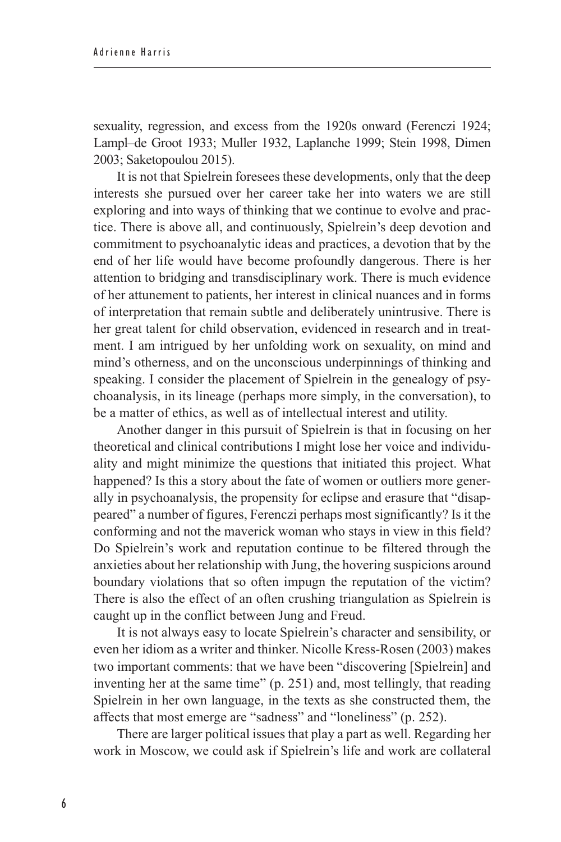sexuality, regression, and excess from the 1920s onward (Ferenczi 1924; Lampl–de Groot 1933; Muller 1932, Laplanche 1999; Stein 1998, Dimen 2003; Saketopoulou 2015).

It is not that Spielrein foresees these developments, only that the deep interests she pursued over her career take her into waters we are still exploring and into ways of thinking that we continue to evolve and practice. There is above all, and continuously, Spielrein's deep devotion and commitment to psychoanalytic ideas and practices, a devotion that by the end of her life would have become profoundly dangerous. There is her attention to bridging and transdisciplinary work. There is much evidence of her attunement to patients, her interest in clinical nuances and in forms of interpretation that remain subtle and deliberately unintrusive. There is her great talent for child observation, evidenced in research and in treatment. I am intrigued by her unfolding work on sexuality, on mind and mind's otherness, and on the unconscious underpinnings of thinking and speaking. I consider the placement of Spielrein in the genealogy of psychoanalysis, in its lineage (perhaps more simply, in the conversation), to be a matter of ethics, as well as of intellectual interest and utility.

Another danger in this pursuit of Spielrein is that in focusing on her theoretical and clinical contributions I might lose her voice and individuality and might minimize the questions that initiated this project. What happened? Is this a story about the fate of women or outliers more generally in psychoanalysis, the propensity for eclipse and erasure that "disappeared" a number of figures, Ferenczi perhaps most significantly? Is it the conforming and not the maverick woman who stays in view in this field? Do Spielrein's work and reputation continue to be filtered through the anxieties about her relationship with Jung, the hovering suspicions around boundary violations that so often impugn the reputation of the victim? There is also the effect of an often crushing triangulation as Spielrein is caught up in the conflict between Jung and Freud.

It is not always easy to locate Spielrein's character and sensibility, or even her idiom as a writer and thinker. Nicolle Kress-Rosen (2003) makes two important comments: that we have been "discovering [Spielrein] and inventing her at the same time" (p. 251) and, most tellingly, that reading Spielrein in her own language, in the texts as she constructed them, the affects that most emerge are "sadness" and "loneliness" (p. 252).

There are larger political issues that play a part as well. Regarding her work in Moscow, we could ask if Spielrein's life and work are collateral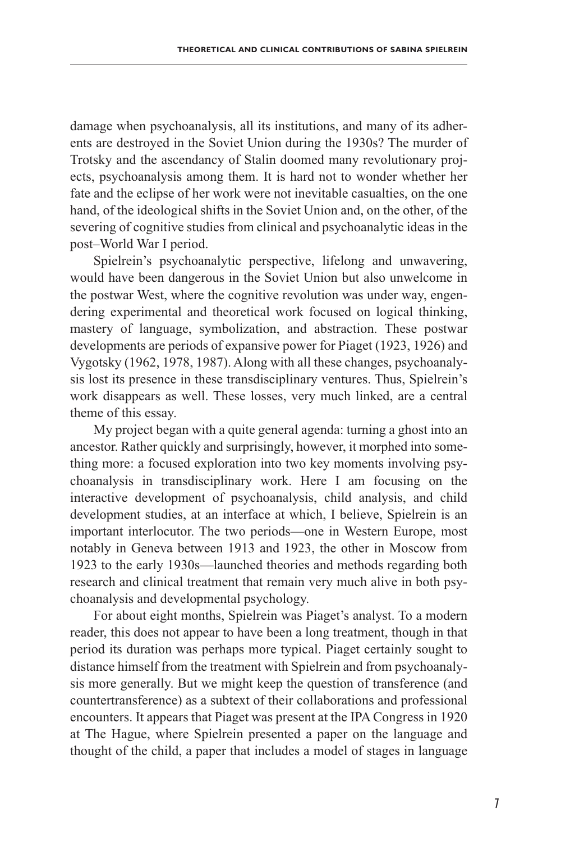damage when psychoanalysis, all its institutions, and many of its adherents are destroyed in the Soviet Union during the 1930s? The murder of Trotsky and the ascendancy of Stalin doomed many revolutionary projects, psychoanalysis among them. It is hard not to wonder whether her fate and the eclipse of her work were not inevitable casualties, on the one hand, of the ideological shifts in the Soviet Union and, on the other, of the severing of cognitive studies from clinical and psychoanalytic ideas in the post–World War I period.

Spielrein's psychoanalytic perspective, lifelong and unwavering, would have been dangerous in the Soviet Union but also unwelcome in the postwar West, where the cognitive revolution was under way, engendering experimental and theoretical work focused on logical thinking, mastery of language, symbolization, and abstraction. These postwar developments are periods of expansive power for Piaget (1923, 1926) and Vygotsky (1962, 1978, 1987). Along with all these changes, psychoanalysis lost its presence in these transdisciplinary ventures. Thus, Spielrein's work disappears as well. These losses, very much linked, are a central theme of this essay.

My project began with a quite general agenda: turning a ghost into an ancestor. Rather quickly and surprisingly, however, it morphed into something more: a focused exploration into two key moments involving psychoanalysis in transdisciplinary work. Here I am focusing on the interactive development of psychoanalysis, child analysis, and child development studies, at an interface at which, I believe, Spielrein is an important interlocutor. The two periods—one in Western Europe, most notably in Geneva between 1913 and 1923, the other in Moscow from 1923 to the early 1930s—launched theories and methods regarding both research and clinical treatment that remain very much alive in both psychoanalysis and developmental psychology.

For about eight months, Spielrein was Piaget's analyst. To a modern reader, this does not appear to have been a long treatment, though in that period its duration was perhaps more typical. Piaget certainly sought to distance himself from the treatment with Spielrein and from psychoanalysis more generally. But we might keep the question of transference (and countertransference) as a subtext of their collaborations and professional encounters. It appears that Piaget was present at the IPA Congress in 1920 at The Hague, where Spielrein presented a paper on the language and thought of the child, a paper that includes a model of stages in language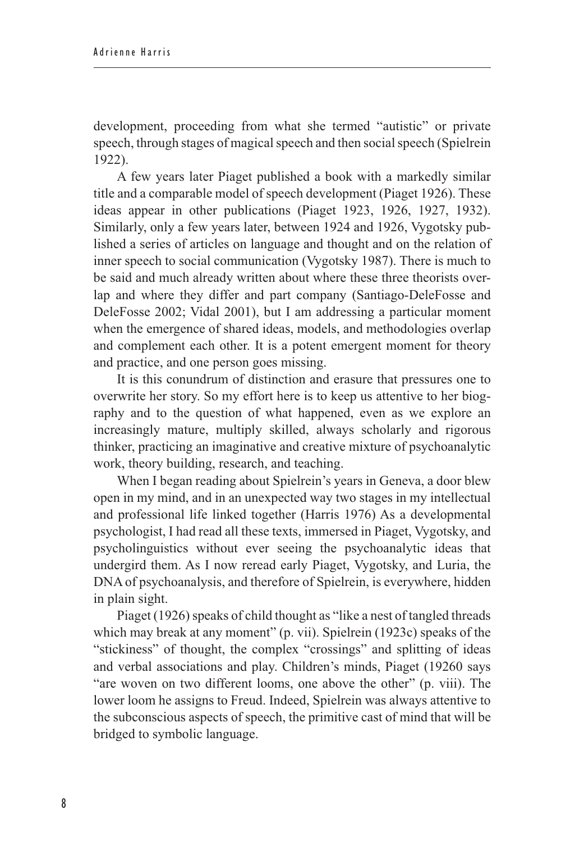development, proceeding from what she termed "autistic" or private speech, through stages of magical speech and then social speech (Spielrein 1922).

A few years later Piaget published a book with a markedly similar title and a comparable model of speech development (Piaget 1926). These ideas appear in other publications (Piaget 1923, 1926, 1927, 1932). Similarly, only a few years later, between 1924 and 1926, Vygotsky published a series of articles on language and thought and on the relation of inner speech to social communication (Vygotsky 1987). There is much to be said and much already written about where these three theorists overlap and where they differ and part company (Santiago-DeleFosse and DeleFosse 2002; Vidal 2001), but I am addressing a particular moment when the emergence of shared ideas, models, and methodologies overlap and complement each other. It is a potent emergent moment for theory and practice, and one person goes missing.

It is this conundrum of distinction and erasure that pressures one to overwrite her story. So my effort here is to keep us attentive to her biography and to the question of what happened, even as we explore an increasingly mature, multiply skilled, always scholarly and rigorous thinker, practicing an imaginative and creative mixture of psychoanalytic work, theory building, research, and teaching.

When I began reading about Spielrein's years in Geneva, a door blew open in my mind, and in an unexpected way two stages in my intellectual and professional life linked together (Harris 1976) As a developmental psychologist, I had read all these texts, immersed in Piaget, Vygotsky, and psycholinguistics without ever seeing the psychoanalytic ideas that undergird them. As I now reread early Piaget, Vygotsky, and Luria, the DNA of psychoanalysis, and therefore of Spielrein, is everywhere, hidden in plain sight.

Piaget (1926) speaks of child thought as "like a nest of tangled threads which may break at any moment" (p. vii). Spielrein (1923c) speaks of the "stickiness" of thought, the complex "crossings" and splitting of ideas and verbal associations and play. Children's minds, Piaget (19260 says "are woven on two different looms, one above the other" (p. viii). The lower loom he assigns to Freud. Indeed, Spielrein was always attentive to the subconscious aspects of speech, the primitive cast of mind that will be bridged to symbolic language.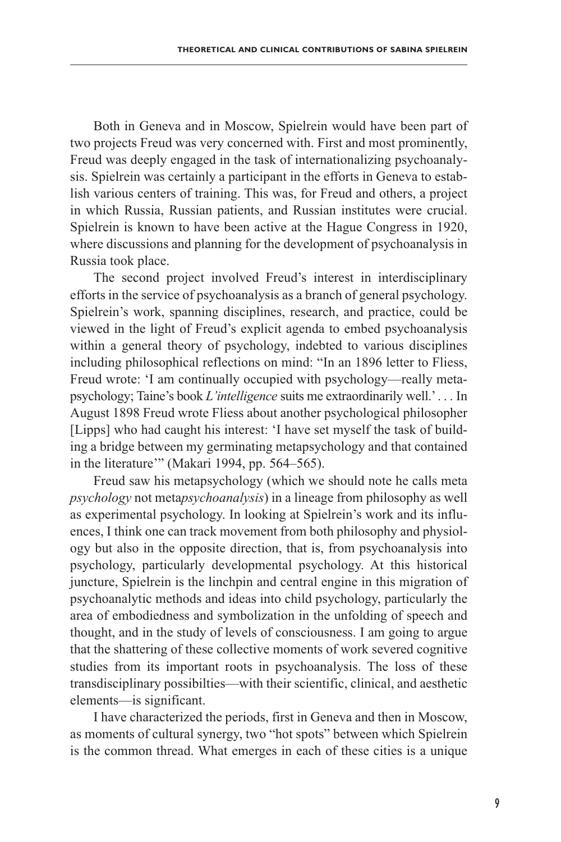Both in Geneva and in Moscow, Spielrein would have been part of two projects Freud was very concerned with. First and most prominently, Freud was deeply engaged in the task of internationalizing psychoanalysis. Spielrein was certainly a participant in the efforts in Geneva to establish various centers of training. This was, for Freud and others, a project in which Russia, Russian patients, and Russian institutes were crucial. Spielrein is known to have been active at the Hague Congress in 1920, where discussions and planning for the development of psychoanalysis in Russia took place.

The second project involved Freud's interest in interdisciplinary efforts in the service of psychoanalysis as a branch of general psychology. Spielrein's work, spanning disciplines, research, and practice, could be viewed in the light of Freud's explicit agenda to embed psychoanalysis within a general theory of psychology, indebted to various disciplines including philosophical reflections on mind: "In an 1896 letter to Fliess, Freud wrote: 'I am continually occupied with psychology—really metapsychology; Taine's book *L'intelligence* suits me extraordinarily well.' . . . In August 1898 Freud wrote Fliess about another psychological philosopher [Lipps] who had caught his interest: 'I have set myself the task of building a bridge between my germinating metapsychology and that contained in the literature'" (Makari 1994, pp. 564–565).

Freud saw his metapsychology (which we should note he calls meta *psychology* not meta*psychoanalysis*) in a lineage from philosophy as well as experimental psychology. In looking at Spielrein's work and its influences, I think one can track movement from both philosophy and physiology but also in the opposite direction, that is, from psychoanalysis into psychology, particularly developmental psychology. At this historical juncture, Spielrein is the linchpin and central engine in this migration of psychoanalytic methods and ideas into child psychology, particularly the area of embodiedness and symbolization in the unfolding of speech and thought, and in the study of levels of consciousness. I am going to argue that the shattering of these collective moments of work severed cognitive studies from its important roots in psychoanalysis. The loss of these transdisciplinary possibilties—with their scientific, clinical, and aesthetic elements—is significant.

I have characterized the periods, first in Geneva and then in Moscow, as moments of cultural synergy, two "hot spots" between which Spielrein is the common thread. What emerges in each of these cities is a unique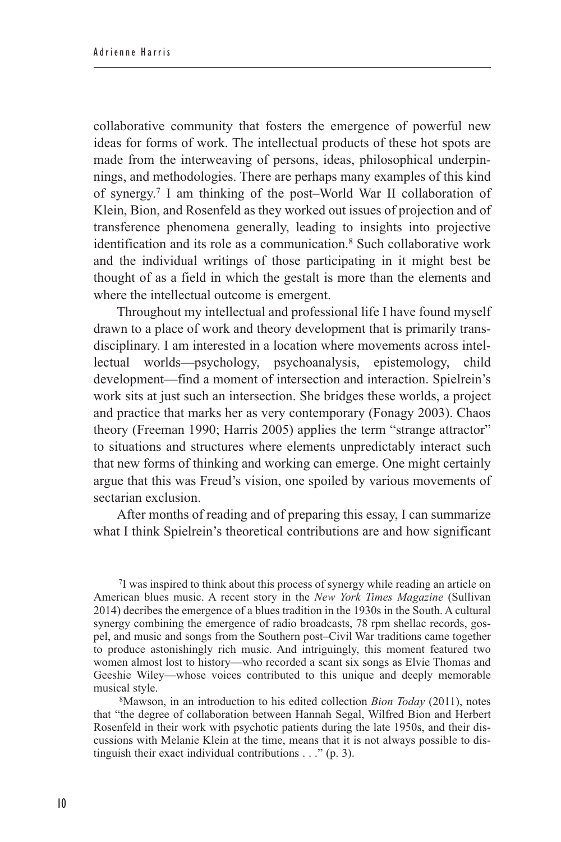collaborative community that fosters the emergence of powerful new ideas for forms of work. The intellectual products of these hot spots are made from the interweaving of persons, ideas, philosophical underpinnings, and methodologies. There are perhaps many examples of this kind of synergy.7 I am thinking of the post–World War II collaboration of Klein, Bion, and Rosenfeld as they worked out issues of projection and of transference phenomena generally, leading to insights into projective identification and its role as a communication.8 Such collaborative work and the individual writings of those participating in it might best be thought of as a field in which the gestalt is more than the elements and where the intellectual outcome is emergent.

Throughout my intellectual and professional life I have found myself drawn to a place of work and theory development that is primarily transdisciplinary. I am interested in a location where movements across intellectual worlds—psychology, psychoanalysis, epistemology, child development—find a moment of intersection and interaction. Spielrein's work sits at just such an intersection. She bridges these worlds, a project and practice that marks her as very contemporary (Fonagy 2003). Chaos theory (Freeman 1990; Harris 2005) applies the term "strange attractor" to situations and structures where elements unpredictably interact such that new forms of thinking and working can emerge. One might certainly argue that this was Freud's vision, one spoiled by various movements of sectarian exclusion.

After months of reading and of preparing this essay, I can summarize what I think Spielrein's theoretical contributions are and how significant

7I was inspired to think about this process of synergy while reading an article on American blues music. A recent story in the *New York Times Magazine* (Sullivan 2014) decribes the emergence of a blues tradition in the 1930s in the South. A cultural synergy combining the emergence of radio broadcasts, 78 rpm shellac records, gospel, and music and songs from the Southern post–Civil War traditions came together to produce astonishingly rich music. And intriguingly, this moment featured two women almost lost to history—who recorded a scant six songs as Elvie Thomas and Geeshie Wiley—whose voices contributed to this unique and deeply memorable musical style.

8Mawson, in an introduction to his edited collection *Bion Today* (2011), notes that "the degree of collaboration between Hannah Segal, Wilfred Bion and Herbert Rosenfeld in their work with psychotic patients during the late 1950s, and their discussions with Melanie Klein at the time, means that it is not always possible to distinguish their exact individual contributions . . ." (p. 3).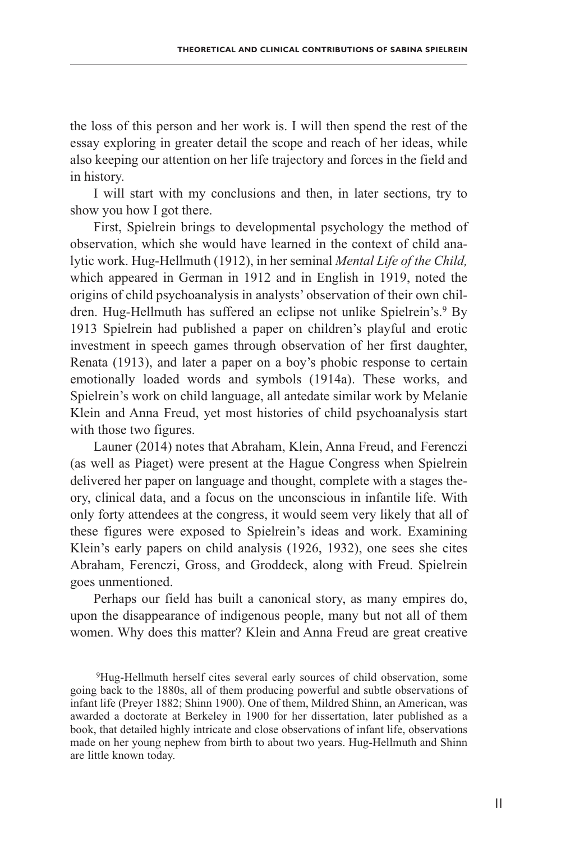the loss of this person and her work is. I will then spend the rest of the essay exploring in greater detail the scope and reach of her ideas, while also keeping our attention on her life trajectory and forces in the field and in history.

I will start with my conclusions and then, in later sections, try to show you how I got there.

First, Spielrein brings to developmental psychology the method of observation, which she would have learned in the context of child analytic work. Hug-Hellmuth (1912), in her seminal *Mental Life of the Child,* which appeared in German in 1912 and in English in 1919, noted the origins of child psychoanalysis in analysts' observation of their own children. Hug-Hellmuth has suffered an eclipse not unlike Spielrein's.<sup>9</sup> By 1913 Spielrein had published a paper on children's playful and erotic investment in speech games through observation of her first daughter, Renata (1913), and later a paper on a boy's phobic response to certain emotionally loaded words and symbols (1914a). These works, and Spielrein's work on child language, all antedate similar work by Melanie Klein and Anna Freud, yet most histories of child psychoanalysis start with those two figures.

Launer (2014) notes that Abraham, Klein, Anna Freud, and Ferenczi (as well as Piaget) were present at the Hague Congress when Spielrein delivered her paper on language and thought, complete with a stages theory, clinical data, and a focus on the unconscious in infantile life. With only forty attendees at the congress, it would seem very likely that all of these figures were exposed to Spielrein's ideas and work. Examining Klein's early papers on child analysis (1926, 1932), one sees she cites Abraham, Ferenczi, Gross, and Groddeck, along with Freud. Spielrein goes unmentioned.

Perhaps our field has built a canonical story, as many empires do, upon the disappearance of indigenous people, many but not all of them women. Why does this matter? Klein and Anna Freud are great creative

9Hug-Hellmuth herself cites several early sources of child observation, some going back to the 1880s, all of them producing powerful and subtle observations of infant life (Preyer 1882; Shinn 1900). One of them, Mildred Shinn, an American, was awarded a doctorate at Berkeley in 1900 for her dissertation, later published as a book, that detailed highly intricate and close observations of infant life, observations made on her young nephew from birth to about two years. Hug-Hellmuth and Shinn are little known today.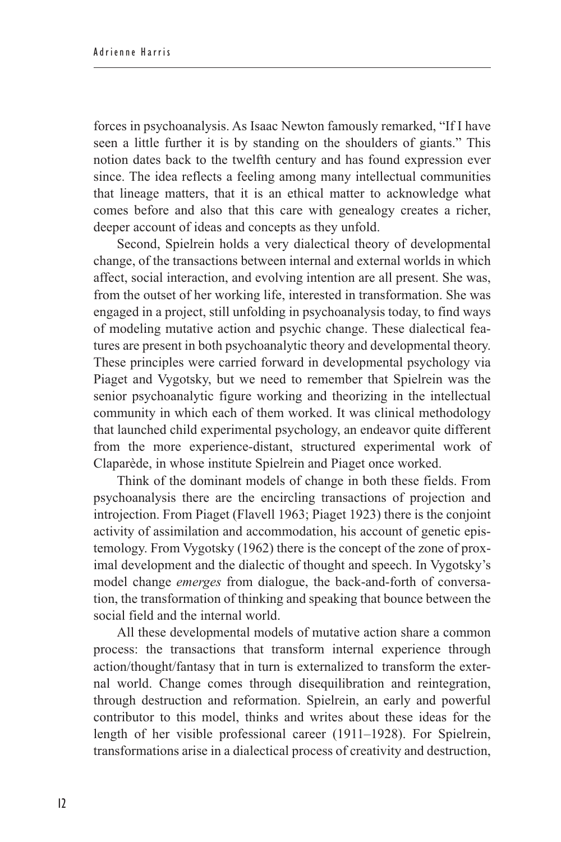forces in psychoanalysis. As Isaac Newton famously remarked, "If I have seen a little further it is by standing on the shoulders of giants." This notion dates back to the twelfth century and has found expression ever since. The idea reflects a feeling among many intellectual communities that lineage matters, that it is an ethical matter to acknowledge what comes before and also that this care with genealogy creates a richer, deeper account of ideas and concepts as they unfold.

Second, Spielrein holds a very dialectical theory of developmental change, of the transactions between internal and external worlds in which affect, social interaction, and evolving intention are all present. She was, from the outset of her working life, interested in transformation. She was engaged in a project, still unfolding in psychoanalysis today, to find ways of modeling mutative action and psychic change. These dialectical features are present in both psychoanalytic theory and developmental theory. These principles were carried forward in developmental psychology via Piaget and Vygotsky, but we need to remember that Spielrein was the senior psychoanalytic figure working and theorizing in the intellectual community in which each of them worked. It was clinical methodology that launched child experimental psychology, an endeavor quite different from the more experience-distant, structured experimental work of Claparède, in whose institute Spielrein and Piaget once worked.

Think of the dominant models of change in both these fields. From psychoanalysis there are the encircling transactions of projection and introjection. From Piaget (Flavell 1963; Piaget 1923) there is the conjoint activity of assimilation and accommodation, his account of genetic epistemology. From Vygotsky (1962) there is the concept of the zone of proximal development and the dialectic of thought and speech. In Vygotsky's model change *emerges* from dialogue, the back-and-forth of conversation, the transformation of thinking and speaking that bounce between the social field and the internal world.

All these developmental models of mutative action share a common process: the transactions that transform internal experience through action/thought/fantasy that in turn is externalized to transform the external world. Change comes through disequilibration and reintegration, through destruction and reformation. Spielrein, an early and powerful contributor to this model, thinks and writes about these ideas for the length of her visible professional career (1911–1928). For Spielrein, transformations arise in a dialectical process of creativity and destruction,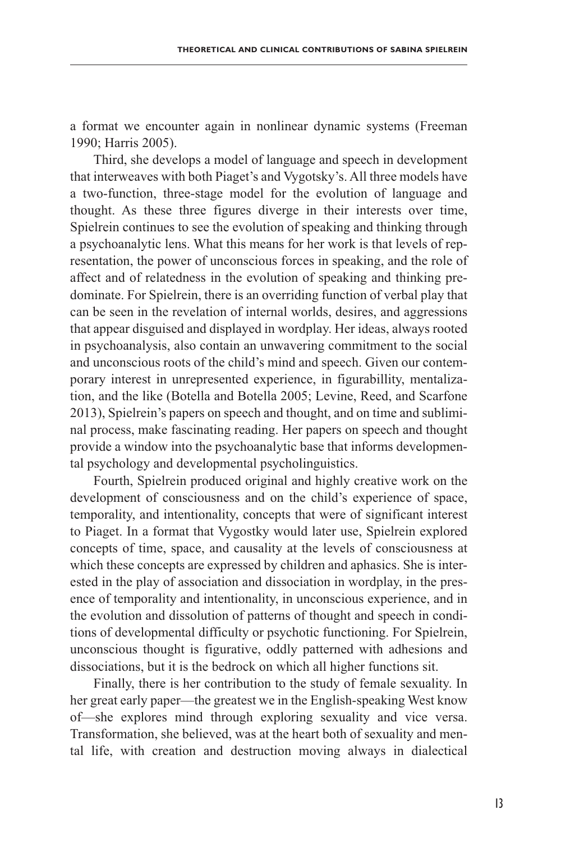a format we encounter again in nonlinear dynamic systems (Freeman 1990; Harris 2005).

Third, she develops a model of language and speech in development that interweaves with both Piaget's and Vygotsky's. All three models have a two-function, three-stage model for the evolution of language and thought. As these three figures diverge in their interests over time, Spielrein continues to see the evolution of speaking and thinking through a psychoanalytic lens. What this means for her work is that levels of representation, the power of unconscious forces in speaking, and the role of affect and of relatedness in the evolution of speaking and thinking predominate. For Spielrein, there is an overriding function of verbal play that can be seen in the revelation of internal worlds, desires, and aggressions that appear disguised and displayed in wordplay. Her ideas, always rooted in psychoanalysis, also contain an unwavering commitment to the social and unconscious roots of the child's mind and speech. Given our contemporary interest in unrepresented experience, in figurabillity, mentalization, and the like (Botella and Botella 2005; Levine, Reed, and Scarfone 2013), Spielrein's papers on speech and thought, and on time and subliminal process, make fascinating reading. Her papers on speech and thought provide a window into the psychoanalytic base that informs developmental psychology and developmental psycholinguistics.

Fourth, Spielrein produced original and highly creative work on the development of consciousness and on the child's experience of space, temporality, and intentionality, concepts that were of significant interest to Piaget. In a format that Vygostky would later use, Spielrein explored concepts of time, space, and causality at the levels of consciousness at which these concepts are expressed by children and aphasics. She is interested in the play of association and dissociation in wordplay, in the presence of temporality and intentionality, in unconscious experience, and in the evolution and dissolution of patterns of thought and speech in conditions of developmental difficulty or psychotic functioning. For Spielrein, unconscious thought is figurative, oddly patterned with adhesions and dissociations, but it is the bedrock on which all higher functions sit.

Finally, there is her contribution to the study of female sexuality. In her great early paper—the greatest we in the English-speaking West know of—she explores mind through exploring sexuality and vice versa. Transformation, she believed, was at the heart both of sexuality and mental life, with creation and destruction moving always in dialectical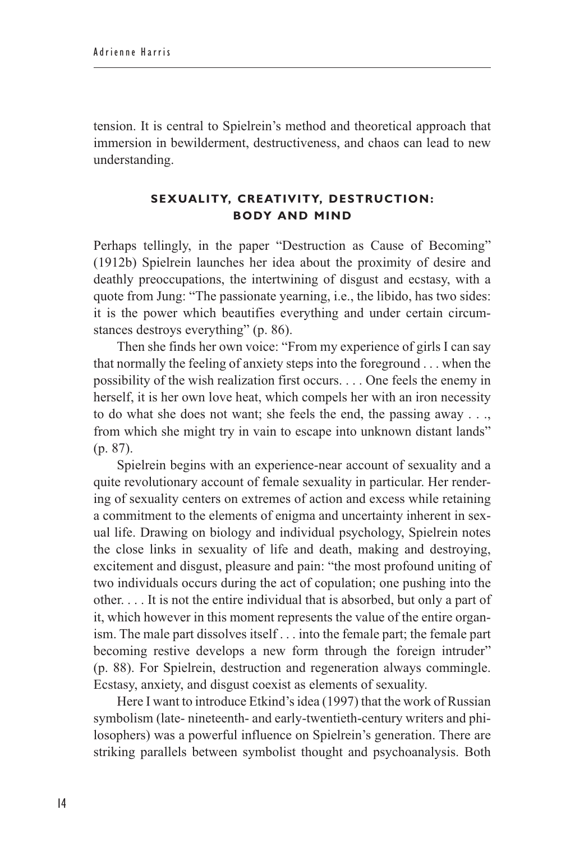tension. It is central to Spielrein's method and theoretical approach that immersion in bewilderment, destructiveness, and chaos can lead to new understanding.

## **Sexuality, Creativity, Destruction: Body and Mind**

Perhaps tellingly, in the paper "Destruction as Cause of Becoming" (1912b) Spielrein launches her idea about the proximity of desire and deathly preoccupations, the intertwining of disgust and ecstasy, with a quote from Jung: "The passionate yearning, i.e., the libido, has two sides: it is the power which beautifies everything and under certain circumstances destroys everything" (p. 86).

Then she finds her own voice: "From my experience of girls I can say that normally the feeling of anxiety steps into the foreground . . . when the possibility of the wish realization first occurs. . . . One feels the enemy in herself, it is her own love heat, which compels her with an iron necessity to do what she does not want; she feels the end, the passing away . . ., from which she might try in vain to escape into unknown distant lands" (p. 87).

Spielrein begins with an experience-near account of sexuality and a quite revolutionary account of female sexuality in particular. Her rendering of sexuality centers on extremes of action and excess while retaining a commitment to the elements of enigma and uncertainty inherent in sexual life. Drawing on biology and individual psychology, Spielrein notes the close links in sexuality of life and death, making and destroying, excitement and disgust, pleasure and pain: "the most profound uniting of two individuals occurs during the act of copulation; one pushing into the other. . . . It is not the entire individual that is absorbed, but only a part of it, which however in this moment represents the value of the entire organism. The male part dissolves itself . . . into the female part; the female part becoming restive develops a new form through the foreign intruder" (p. 88). For Spielrein, destruction and regeneration always commingle. Ecstasy, anxiety, and disgust coexist as elements of sexuality.

Here I want to introduce Etkind's idea (1997) that the work of Russian symbolism (late- nineteenth- and early-twentieth-century writers and philosophers) was a powerful influence on Spielrein's generation. There are striking parallels between symbolist thought and psychoanalysis. Both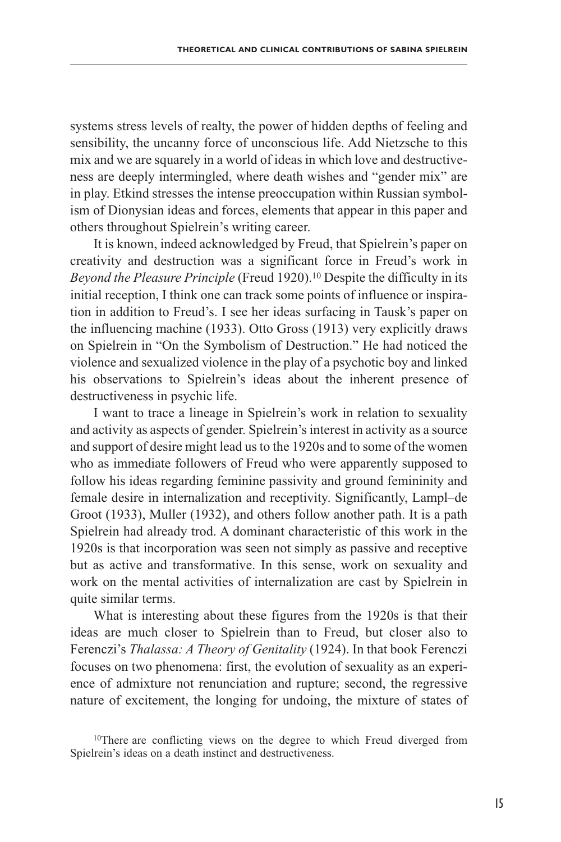systems stress levels of realty, the power of hidden depths of feeling and sensibility, the uncanny force of unconscious life. Add Nietzsche to this mix and we are squarely in a world of ideas in which love and destructiveness are deeply intermingled, where death wishes and "gender mix" are in play. Etkind stresses the intense preoccupation within Russian symbolism of Dionysian ideas and forces, elements that appear in this paper and others throughout Spielrein's writing career.

It is known, indeed acknowledged by Freud, that Spielrein's paper on creativity and destruction was a significant force in Freud's work in *Beyond the Pleasure Principle* (Freud 1920).<sup>10</sup> Despite the difficulty in its initial reception, I think one can track some points of influence or inspiration in addition to Freud's. I see her ideas surfacing in Tausk's paper on the influencing machine (1933). Otto Gross (1913) very explicitly draws on Spielrein in "On the Symbolism of Destruction." He had noticed the violence and sexualized violence in the play of a psychotic boy and linked his observations to Spielrein's ideas about the inherent presence of destructiveness in psychic life.

I want to trace a lineage in Spielrein's work in relation to sexuality and activity as aspects of gender. Spielrein's interest in activity as a source and support of desire might lead us to the 1920s and to some of the women who as immediate followers of Freud who were apparently supposed to follow his ideas regarding feminine passivity and ground femininity and female desire in internalization and receptivity. Significantly, Lampl–de Groot (1933), Muller (1932), and others follow another path. It is a path Spielrein had already trod. A dominant characteristic of this work in the 1920s is that incorporation was seen not simply as passive and receptive but as active and transformative. In this sense, work on sexuality and work on the mental activities of internalization are cast by Spielrein in quite similar terms.

What is interesting about these figures from the 1920s is that their ideas are much closer to Spielrein than to Freud, but closer also to Ferenczi's *Thalassa: A Theory of Genitality* (1924). In that book Ferenczi focuses on two phenomena: first, the evolution of sexuality as an experience of admixture not renunciation and rupture; second, the regressive nature of excitement, the longing for undoing, the mixture of states of

<sup>&</sup>lt;sup>10</sup>There are conflicting views on the degree to which Freud diverged from Spielrein's ideas on a death instinct and destructiveness.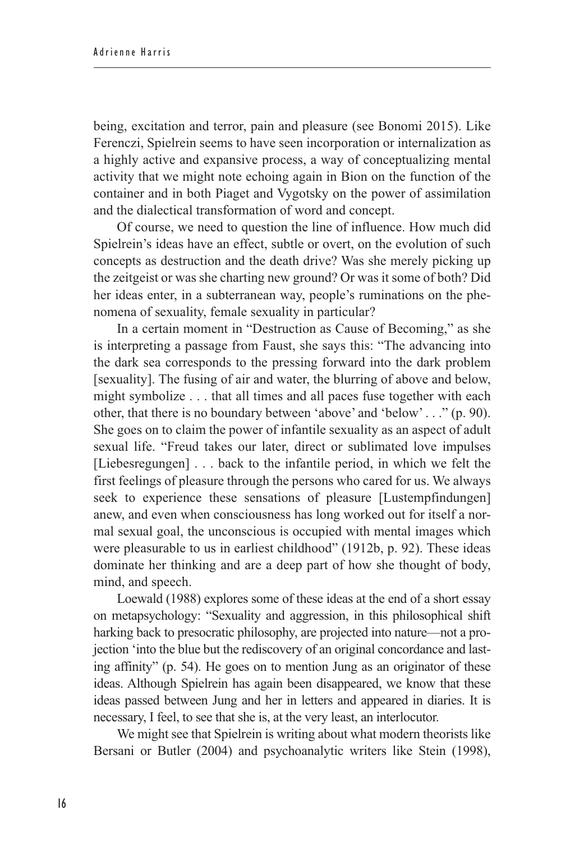being, excitation and terror, pain and pleasure (see Bonomi 2015). Like Ferenczi, Spielrein seems to have seen incorporation or internalization as a highly active and expansive process, a way of conceptualizing mental activity that we might note echoing again in Bion on the function of the container and in both Piaget and Vygotsky on the power of assimilation and the dialectical transformation of word and concept.

Of course, we need to question the line of influence. How much did Spielrein's ideas have an effect, subtle or overt, on the evolution of such concepts as destruction and the death drive? Was she merely picking up the zeitgeist or was she charting new ground? Or was it some of both? Did her ideas enter, in a subterranean way, people's ruminations on the phenomena of sexuality, female sexuality in particular?

In a certain moment in "Destruction as Cause of Becoming," as she is interpreting a passage from Faust, she says this: "The advancing into the dark sea corresponds to the pressing forward into the dark problem [sexuality]. The fusing of air and water, the blurring of above and below, might symbolize . . . that all times and all paces fuse together with each other, that there is no boundary between 'above' and 'below' . . ." (p. 90). She goes on to claim the power of infantile sexuality as an aspect of adult sexual life. "Freud takes our later, direct or sublimated love impulses [Liebesregungen] . . . back to the infantile period, in which we felt the first feelings of pleasure through the persons who cared for us. We always seek to experience these sensations of pleasure [Lustempfindungen] anew, and even when consciousness has long worked out for itself a normal sexual goal, the unconscious is occupied with mental images which were pleasurable to us in earliest childhood" (1912b, p. 92). These ideas dominate her thinking and are a deep part of how she thought of body, mind, and speech.

Loewald (1988) explores some of these ideas at the end of a short essay on metapsychology: "Sexuality and aggression, in this philosophical shift harking back to presocratic philosophy, are projected into nature—not a projection 'into the blue but the rediscovery of an original concordance and lasting affinity" (p. 54). He goes on to mention Jung as an originator of these ideas. Although Spielrein has again been disappeared, we know that these ideas passed between Jung and her in letters and appeared in diaries. It is necessary, I feel, to see that she is, at the very least, an interlocutor.

We might see that Spielrein is writing about what modern theorists like Bersani or Butler (2004) and psychoanalytic writers like Stein (1998),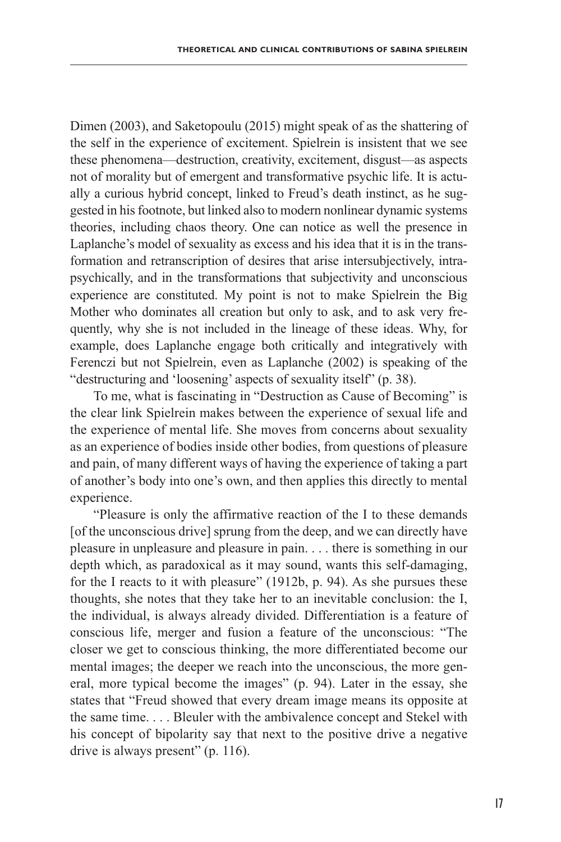Dimen (2003), and Saketopoulu (2015) might speak of as the shattering of the self in the experience of excitement. Spielrein is insistent that we see these phenomena—destruction, creativity, excitement, disgust—as aspects not of morality but of emergent and transformative psychic life. It is actually a curious hybrid concept, linked to Freud's death instinct, as he suggested in his footnote, but linked also to modern nonlinear dynamic systems theories, including chaos theory. One can notice as well the presence in Laplanche's model of sexuality as excess and his idea that it is in the transformation and retranscription of desires that arise intersubjectively, intrapsychically, and in the transformations that subjectivity and unconscious experience are constituted. My point is not to make Spielrein the Big Mother who dominates all creation but only to ask, and to ask very frequently, why she is not included in the lineage of these ideas. Why, for example, does Laplanche engage both critically and integratively with Ferenczi but not Spielrein, even as Laplanche (2002) is speaking of the "destructuring and 'loosening' aspects of sexuality itself" (p. 38).

To me, what is fascinating in "Destruction as Cause of Becoming" is the clear link Spielrein makes between the experience of sexual life and the experience of mental life. She moves from concerns about sexuality as an experience of bodies inside other bodies, from questions of pleasure and pain, of many different ways of having the experience of taking a part of another's body into one's own, and then applies this directly to mental experience.

"Pleasure is only the affirmative reaction of the I to these demands [of the unconscious drive] sprung from the deep, and we can directly have pleasure in unpleasure and pleasure in pain. . . . there is something in our depth which, as paradoxical as it may sound, wants this self-damaging, for the I reacts to it with pleasure" (1912b, p. 94). As she pursues these thoughts, she notes that they take her to an inevitable conclusion: the I, the individual, is always already divided. Differentiation is a feature of conscious life, merger and fusion a feature of the unconscious: "The closer we get to conscious thinking, the more differentiated become our mental images; the deeper we reach into the unconscious, the more general, more typical become the images" (p. 94). Later in the essay, she states that "Freud showed that every dream image means its opposite at the same time. . . . Bleuler with the ambivalence concept and Stekel with his concept of bipolarity say that next to the positive drive a negative drive is always present" (p. 116).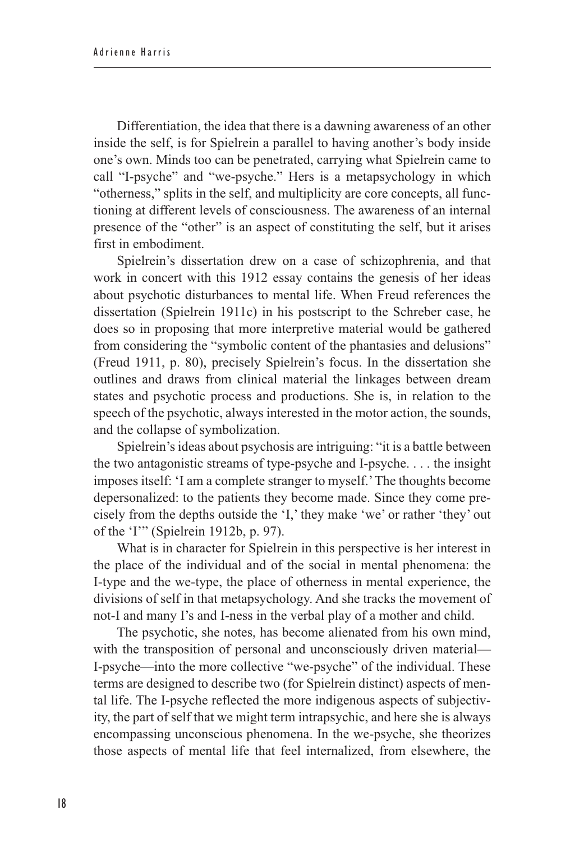Differentiation, the idea that there is a dawning awareness of an other inside the self, is for Spielrein a parallel to having another's body inside one's own. Minds too can be penetrated, carrying what Spielrein came to call "I-psyche" and "we-psyche." Hers is a metapsychology in which "otherness," splits in the self, and multiplicity are core concepts, all functioning at different levels of consciousness. The awareness of an internal presence of the "other" is an aspect of constituting the self, but it arises first in embodiment.

Spielrein's dissertation drew on a case of schizophrenia, and that work in concert with this 1912 essay contains the genesis of her ideas about psychotic disturbances to mental life. When Freud references the dissertation (Spielrein 1911c) in his postscript to the Schreber case, he does so in proposing that more interpretive material would be gathered from considering the "symbolic content of the phantasies and delusions" (Freud 1911, p. 80), precisely Spielrein's focus. In the dissertation she outlines and draws from clinical material the linkages between dream states and psychotic process and productions. She is, in relation to the speech of the psychotic, always interested in the motor action, the sounds, and the collapse of symbolization.

Spielrein's ideas about psychosis are intriguing: "it is a battle between the two antagonistic streams of type-psyche and I-psyche. . . . the insight imposes itself: 'I am a complete stranger to myself.' The thoughts become depersonalized: to the patients they become made. Since they come precisely from the depths outside the 'I,' they make 'we' or rather 'they' out of the 'I'" (Spielrein 1912b, p. 97).

What is in character for Spielrein in this perspective is her interest in the place of the individual and of the social in mental phenomena: the I-type and the we-type, the place of otherness in mental experience, the divisions of self in that metapsychology. And she tracks the movement of not-I and many I's and I-ness in the verbal play of a mother and child.

The psychotic, she notes, has become alienated from his own mind, with the transposition of personal and unconsciously driven material— I-psyche—into the more collective "we-psyche" of the individual. These terms are designed to describe two (for Spielrein distinct) aspects of mental life. The I-psyche reflected the more indigenous aspects of subjectivity, the part of self that we might term intrapsychic, and here she is always encompassing unconscious phenomena. In the we-psyche, she theorizes those aspects of mental life that feel internalized, from elsewhere, the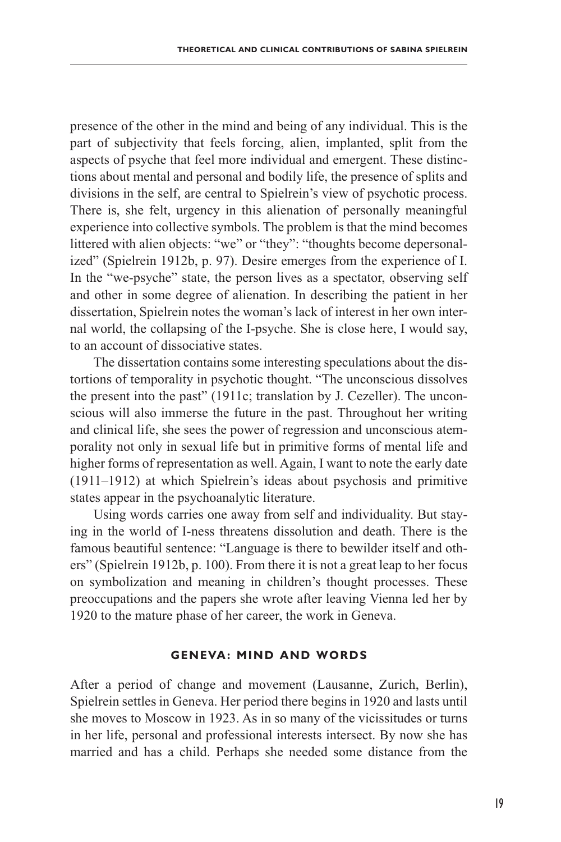presence of the other in the mind and being of any individual. This is the part of subjectivity that feels forcing, alien, implanted, split from the aspects of psyche that feel more individual and emergent. These distinctions about mental and personal and bodily life, the presence of splits and divisions in the self, are central to Spielrein's view of psychotic process. There is, she felt, urgency in this alienation of personally meaningful experience into collective symbols. The problem is that the mind becomes littered with alien objects: "we" or "they": "thoughts become depersonalized" (Spielrein 1912b, p. 97). Desire emerges from the experience of I. In the "we-psyche" state, the person lives as a spectator, observing self and other in some degree of alienation. In describing the patient in her dissertation, Spielrein notes the woman's lack of interest in her own internal world, the collapsing of the I-psyche. She is close here, I would say, to an account of dissociative states.

The dissertation contains some interesting speculations about the distortions of temporality in psychotic thought. "The unconscious dissolves the present into the past" (1911c; translation by J. Cezeller). The unconscious will also immerse the future in the past. Throughout her writing and clinical life, she sees the power of regression and unconscious atemporality not only in sexual life but in primitive forms of mental life and higher forms of representation as well. Again, I want to note the early date (1911–1912) at which Spielrein's ideas about psychosis and primitive states appear in the psychoanalytic literature.

Using words carries one away from self and individuality. But staying in the world of I-ness threatens dissolution and death. There is the famous beautiful sentence: "Language is there to bewilder itself and others" (Spielrein 1912b, p. 100). From there it is not a great leap to her focus on symbolization and meaning in children's thought processes. These preoccupations and the papers she wrote after leaving Vienna led her by 1920 to the mature phase of her career, the work in Geneva.

#### **Geneva: Mind and Words**

After a period of change and movement (Lausanne, Zurich, Berlin), Spielrein settles in Geneva. Her period there begins in 1920 and lasts until she moves to Moscow in 1923. As in so many of the vicissitudes or turns in her life, personal and professional interests intersect. By now she has married and has a child. Perhaps she needed some distance from the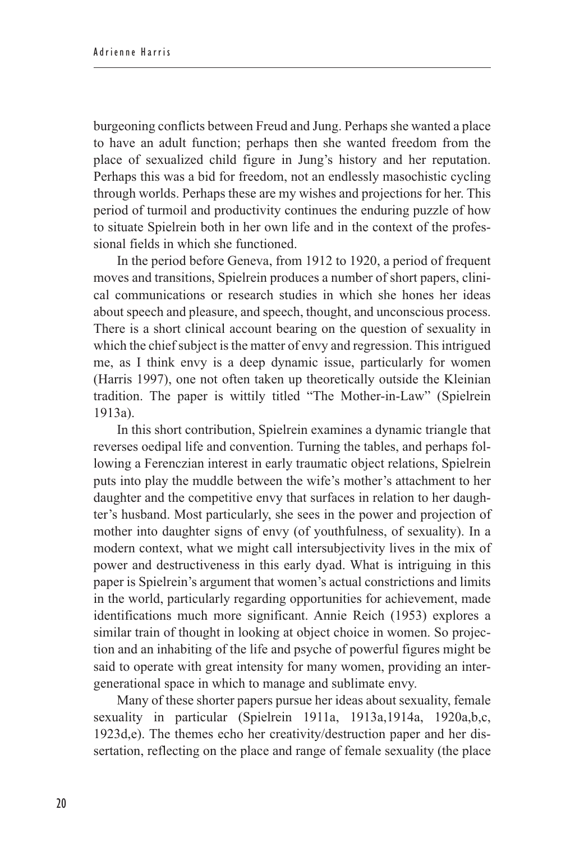burgeoning conflicts between Freud and Jung. Perhaps she wanted a place to have an adult function; perhaps then she wanted freedom from the place of sexualized child figure in Jung's history and her reputation. Perhaps this was a bid for freedom, not an endlessly masochistic cycling through worlds. Perhaps these are my wishes and projections for her. This period of turmoil and productivity continues the enduring puzzle of how to situate Spielrein both in her own life and in the context of the professional fields in which she functioned.

In the period before Geneva, from 1912 to 1920, a period of frequent moves and transitions, Spielrein produces a number of short papers, clinical communications or research studies in which she hones her ideas about speech and pleasure, and speech, thought, and unconscious process. There is a short clinical account bearing on the question of sexuality in which the chief subject is the matter of envy and regression. This intrigued me, as I think envy is a deep dynamic issue, particularly for women (Harris 1997), one not often taken up theoretically outside the Kleinian tradition. The paper is wittily titled "The Mother-in-Law" (Spielrein 1913a).

In this short contribution, Spielrein examines a dynamic triangle that reverses oedipal life and convention. Turning the tables, and perhaps following a Ferenczian interest in early traumatic object relations, Spielrein puts into play the muddle between the wife's mother's attachment to her daughter and the competitive envy that surfaces in relation to her daughter's husband. Most particularly, she sees in the power and projection of mother into daughter signs of envy (of youthfulness, of sexuality). In a modern context, what we might call intersubjectivity lives in the mix of power and destructiveness in this early dyad. What is intriguing in this paper is Spielrein's argument that women's actual constrictions and limits in the world, particularly regarding opportunities for achievement, made identifications much more significant. Annie Reich (1953) explores a similar train of thought in looking at object choice in women. So projection and an inhabiting of the life and psyche of powerful figures might be said to operate with great intensity for many women, providing an intergenerational space in which to manage and sublimate envy.

Many of these shorter papers pursue her ideas about sexuality, female sexuality in particular (Spielrein 1911a, 1913a,1914a, 1920a,b,c, 1923d,e). The themes echo her creativity/destruction paper and her dissertation, reflecting on the place and range of female sexuality (the place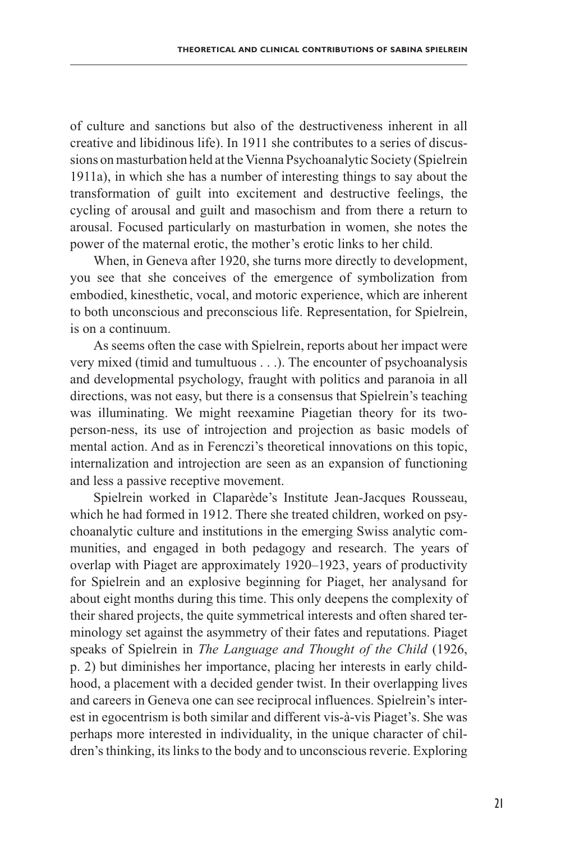of culture and sanctions but also of the destructiveness inherent in all creative and libidinous life). In 1911 she contributes to a series of discussions on masturbation held at the Vienna Psychoanalytic Society (Spielrein 1911a), in which she has a number of interesting things to say about the transformation of guilt into excitement and destructive feelings, the cycling of arousal and guilt and masochism and from there a return to arousal. Focused particularly on masturbation in women, she notes the power of the maternal erotic, the mother's erotic links to her child.

When, in Geneva after 1920, she turns more directly to development, you see that she conceives of the emergence of symbolization from embodied, kinesthetic, vocal, and motoric experience, which are inherent to both unconscious and preconscious life. Representation, for Spielrein, is on a continuum.

As seems often the case with Spielrein, reports about her impact were very mixed (timid and tumultuous . . .). The encounter of psychoanalysis and developmental psychology, fraught with politics and paranoia in all directions, was not easy, but there is a consensus that Spielrein's teaching was illuminating. We might reexamine Piagetian theory for its twoperson-ness, its use of introjection and projection as basic models of mental action. And as in Ferenczi's theoretical innovations on this topic, internalization and introjection are seen as an expansion of functioning and less a passive receptive movement.

Spielrein worked in Claparède's Institute Jean-Jacques Rousseau, which he had formed in 1912. There she treated children, worked on psychoanalytic culture and institutions in the emerging Swiss analytic communities, and engaged in both pedagogy and research. The years of overlap with Piaget are approximately 1920–1923, years of productivity for Spielrein and an explosive beginning for Piaget, her analysand for about eight months during this time. This only deepens the complexity of their shared projects, the quite symmetrical interests and often shared terminology set against the asymmetry of their fates and reputations. Piaget speaks of Spielrein in *The Language and Thought of the Child* (1926, p. 2) but diminishes her importance, placing her interests in early childhood, a placement with a decided gender twist. In their overlapping lives and careers in Geneva one can see reciprocal influences. Spielrein's interest in egocentrism is both similar and different vis-à-vis Piaget's. She was perhaps more interested in individuality, in the unique character of children's thinking, its links to the body and to unconscious reverie. Exploring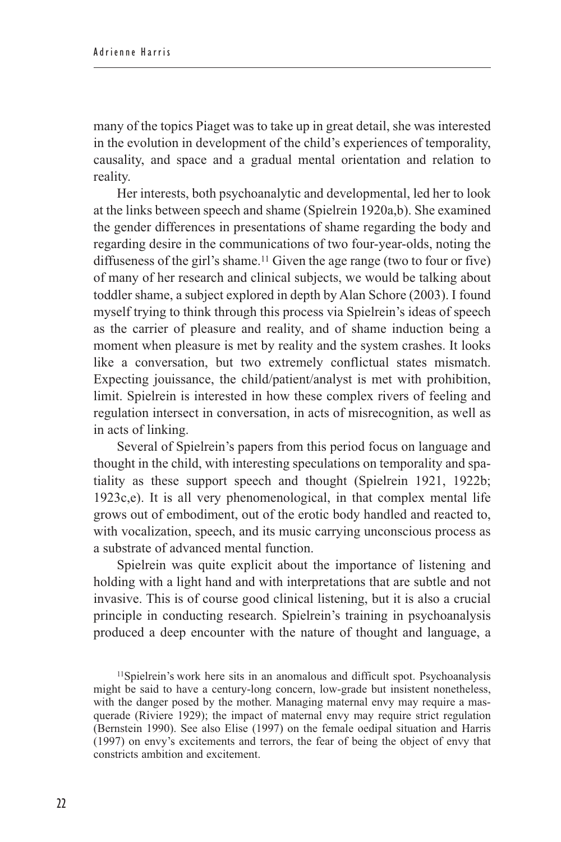many of the topics Piaget was to take up in great detail, she was interested in the evolution in development of the child's experiences of temporality, causality, and space and a gradual mental orientation and relation to reality.

Her interests, both psychoanalytic and developmental, led her to look at the links between speech and shame (Spielrein 1920a,b). She examined the gender differences in presentations of shame regarding the body and regarding desire in the communications of two four-year-olds, noting the diffuseness of the girl's shame.<sup>11</sup> Given the age range (two to four or five) of many of her research and clinical subjects, we would be talking about toddler shame, a subject explored in depth by Alan Schore (2003). I found myself trying to think through this process via Spielrein's ideas of speech as the carrier of pleasure and reality, and of shame induction being a moment when pleasure is met by reality and the system crashes. It looks like a conversation, but two extremely conflictual states mismatch. Expecting jouissance, the child/patient/analyst is met with prohibition, limit. Spielrein is interested in how these complex rivers of feeling and regulation intersect in conversation, in acts of misrecognition, as well as in acts of linking.

Several of Spielrein's papers from this period focus on language and thought in the child, with interesting speculations on temporality and spatiality as these support speech and thought (Spielrein 1921, 1922b; 1923c,e). It is all very phenomenological, in that complex mental life grows out of embodiment, out of the erotic body handled and reacted to, with vocalization, speech, and its music carrying unconscious process as a substrate of advanced mental function.

Spielrein was quite explicit about the importance of listening and holding with a light hand and with interpretations that are subtle and not invasive. This is of course good clinical listening, but it is also a crucial principle in conducting research. Spielrein's training in psychoanalysis produced a deep encounter with the nature of thought and language, a

<sup>11</sup>Spielrein's work here sits in an anomalous and difficult spot. Psychoanalysis might be said to have a century-long concern, low-grade but insistent nonetheless, with the danger posed by the mother. Managing maternal envy may require a masquerade (Riviere 1929); the impact of maternal envy may require strict regulation (Bernstein 1990). See also Elise (1997) on the female oedipal situation and Harris (1997) on envy's excitements and terrors, the fear of being the object of envy that constricts ambition and excitement.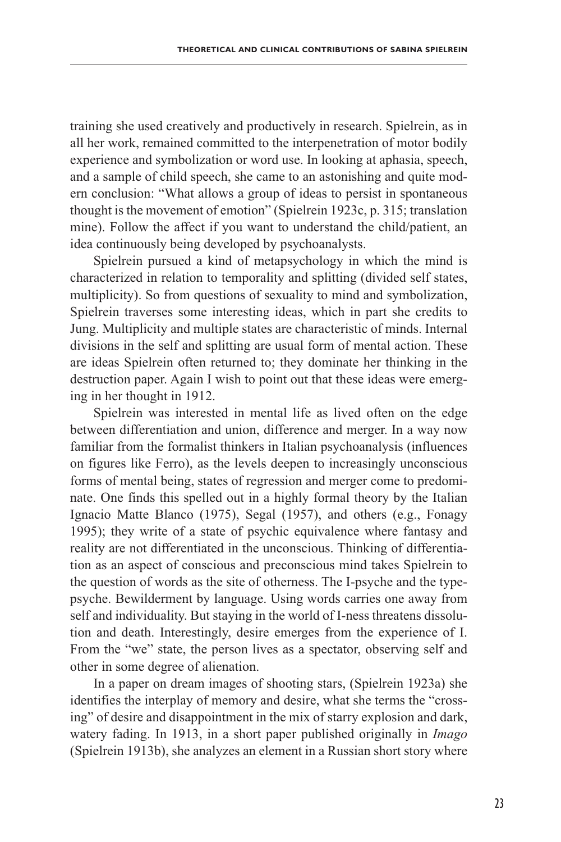training she used creatively and productively in research. Spielrein, as in all her work, remained committed to the interpenetration of motor bodily experience and symbolization or word use. In looking at aphasia, speech, and a sample of child speech, she came to an astonishing and quite modern conclusion: "What allows a group of ideas to persist in spontaneous thought is the movement of emotion" (Spielrein 1923c, p. 315; translation mine). Follow the affect if you want to understand the child/patient, an idea continuously being developed by psychoanalysts.

Spielrein pursued a kind of metapsychology in which the mind is characterized in relation to temporality and splitting (divided self states, multiplicity). So from questions of sexuality to mind and symbolization, Spielrein traverses some interesting ideas, which in part she credits to Jung. Multiplicity and multiple states are characteristic of minds. Internal divisions in the self and splitting are usual form of mental action. These are ideas Spielrein often returned to; they dominate her thinking in the destruction paper. Again I wish to point out that these ideas were emerging in her thought in 1912.

Spielrein was interested in mental life as lived often on the edge between differentiation and union, difference and merger. In a way now familiar from the formalist thinkers in Italian psychoanalysis (influences on figures like Ferro), as the levels deepen to increasingly unconscious forms of mental being, states of regression and merger come to predominate. One finds this spelled out in a highly formal theory by the Italian Ignacio Matte Blanco (1975), Segal (1957), and others (e.g., Fonagy 1995); they write of a state of psychic equivalence where fantasy and reality are not differentiated in the unconscious. Thinking of differentiation as an aspect of conscious and preconscious mind takes Spielrein to the question of words as the site of otherness. The I-psyche and the typepsyche. Bewilderment by language. Using words carries one away from self and individuality. But staying in the world of I-ness threatens dissolution and death. Interestingly, desire emerges from the experience of I. From the "we" state, the person lives as a spectator, observing self and other in some degree of alienation.

In a paper on dream images of shooting stars, (Spielrein 1923a) she identifies the interplay of memory and desire, what she terms the "crossing" of desire and disappointment in the mix of starry explosion and dark, watery fading. In 1913, in a short paper published originally in *Imago* (Spielrein 1913b), she analyzes an element in a Russian short story where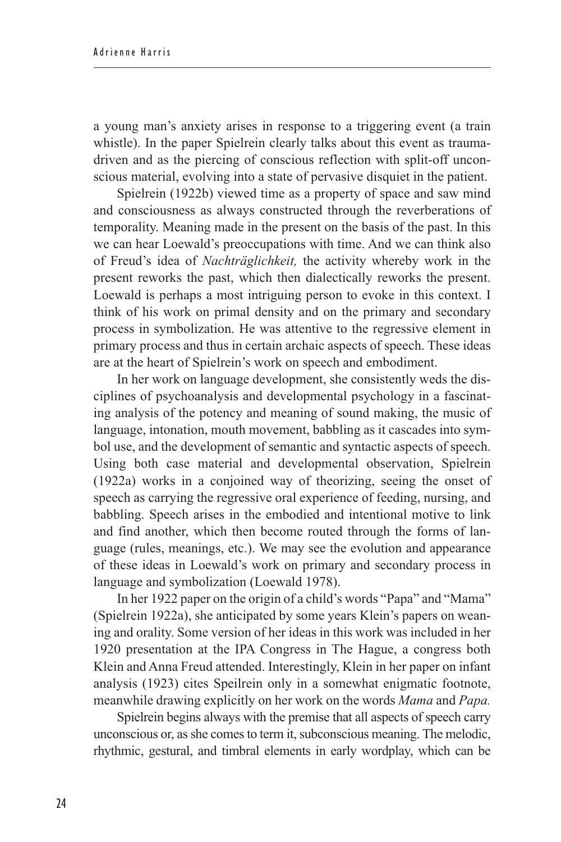a young man's anxiety arises in response to a triggering event (a train whistle). In the paper Spielrein clearly talks about this event as traumadriven and as the piercing of conscious reflection with split-off unconscious material, evolving into a state of pervasive disquiet in the patient.

Spielrein (1922b) viewed time as a property of space and saw mind and consciousness as always constructed through the reverberations of temporality. Meaning made in the present on the basis of the past. In this we can hear Loewald's preoccupations with time. And we can think also of Freud's idea of *Nachträglichkeit,* the activity whereby work in the present reworks the past, which then dialectically reworks the present. Loewald is perhaps a most intriguing person to evoke in this context. I think of his work on primal density and on the primary and secondary process in symbolization. He was attentive to the regressive element in primary process and thus in certain archaic aspects of speech. These ideas are at the heart of Spielrein's work on speech and embodiment.

In her work on language development, she consistently weds the disciplines of psychoanalysis and developmental psychology in a fascinating analysis of the potency and meaning of sound making, the music of language, intonation, mouth movement, babbling as it cascades into symbol use, and the development of semantic and syntactic aspects of speech. Using both case material and developmental observation, Spielrein (1922a) works in a conjoined way of theorizing, seeing the onset of speech as carrying the regressive oral experience of feeding, nursing, and babbling. Speech arises in the embodied and intentional motive to link and find another, which then become routed through the forms of language (rules, meanings, etc.). We may see the evolution and appearance of these ideas in Loewald's work on primary and secondary process in language and symbolization (Loewald 1978).

In her 1922 paper on the origin of a child's words "Papa" and "Mama" (Spielrein 1922a), she anticipated by some years Klein's papers on weaning and orality. Some version of her ideas in this work was included in her 1920 presentation at the IPA Congress in The Hague, a congress both Klein and Anna Freud attended. Interestingly, Klein in her paper on infant analysis (1923) cites Speilrein only in a somewhat enigmatic footnote, meanwhile drawing explicitly on her work on the words *Mama* and *Papa.*

Spielrein begins always with the premise that all aspects of speech carry unconscious or, as she comes to term it, subconscious meaning. The melodic, rhythmic, gestural, and timbral elements in early wordplay, which can be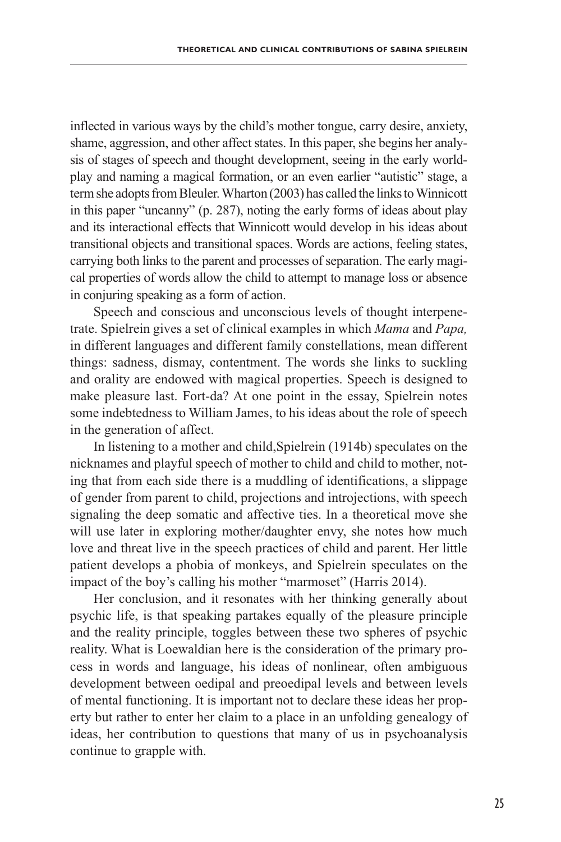inflected in various ways by the child's mother tongue, carry desire, anxiety, shame, aggression, and other affect states. In this paper, she begins her analysis of stages of speech and thought development, seeing in the early worldplay and naming a magical formation, or an even earlier "autistic" stage, a term she adopts from Bleuler. Wharton (2003) has called the links to Winnicott in this paper "uncanny" (p. 287), noting the early forms of ideas about play and its interactional effects that Winnicott would develop in his ideas about transitional objects and transitional spaces. Words are actions, feeling states, carrying both links to the parent and processes of separation. The early magical properties of words allow the child to attempt to manage loss or absence in conjuring speaking as a form of action.

Speech and conscious and unconscious levels of thought interpenetrate. Spielrein gives a set of clinical examples in which *Mama* and *Papa,* in different languages and different family constellations, mean different things: sadness, dismay, contentment. The words she links to suckling and orality are endowed with magical properties. Speech is designed to make pleasure last. Fort-da? At one point in the essay, Spielrein notes some indebtedness to William James, to his ideas about the role of speech in the generation of affect.

In listening to a mother and child,Spielrein (1914b) speculates on the nicknames and playful speech of mother to child and child to mother, noting that from each side there is a muddling of identifications, a slippage of gender from parent to child, projections and introjections, with speech signaling the deep somatic and affective ties. In a theoretical move she will use later in exploring mother/daughter envy, she notes how much love and threat live in the speech practices of child and parent. Her little patient develops a phobia of monkeys, and Spielrein speculates on the impact of the boy's calling his mother "marmoset" (Harris 2014).

Her conclusion, and it resonates with her thinking generally about psychic life, is that speaking partakes equally of the pleasure principle and the reality principle, toggles between these two spheres of psychic reality. What is Loewaldian here is the consideration of the primary process in words and language, his ideas of nonlinear, often ambiguous development between oedipal and preoedipal levels and between levels of mental functioning. It is important not to declare these ideas her property but rather to enter her claim to a place in an unfolding genealogy of ideas, her contribution to questions that many of us in psychoanalysis continue to grapple with.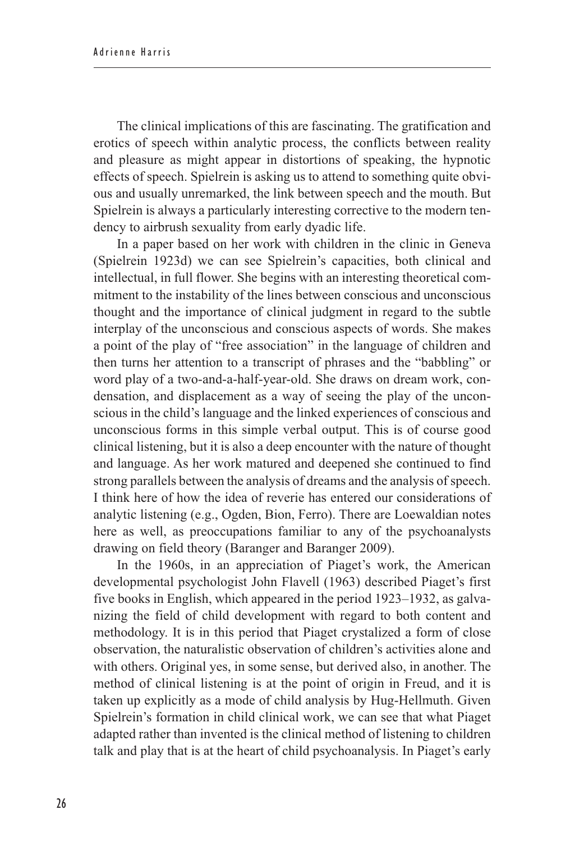The clinical implications of this are fascinating. The gratification and erotics of speech within analytic process, the conflicts between reality and pleasure as might appear in distortions of speaking, the hypnotic effects of speech. Spielrein is asking us to attend to something quite obvious and usually unremarked, the link between speech and the mouth. But Spielrein is always a particularly interesting corrective to the modern tendency to airbrush sexuality from early dyadic life.

In a paper based on her work with children in the clinic in Geneva (Spielrein 1923d) we can see Spielrein's capacities, both clinical and intellectual, in full flower. She begins with an interesting theoretical commitment to the instability of the lines between conscious and unconscious thought and the importance of clinical judgment in regard to the subtle interplay of the unconscious and conscious aspects of words. She makes a point of the play of "free association" in the language of children and then turns her attention to a transcript of phrases and the "babbling" or word play of a two-and-a-half-year-old. She draws on dream work, condensation, and displacement as a way of seeing the play of the unconscious in the child's language and the linked experiences of conscious and unconscious forms in this simple verbal output. This is of course good clinical listening, but it is also a deep encounter with the nature of thought and language. As her work matured and deepened she continued to find strong parallels between the analysis of dreams and the analysis of speech. I think here of how the idea of reverie has entered our considerations of analytic listening (e.g., Ogden, Bion, Ferro). There are Loewaldian notes here as well, as preoccupations familiar to any of the psychoanalysts drawing on field theory (Baranger and Baranger 2009).

In the 1960s, in an appreciation of Piaget's work, the American developmental psychologist John Flavell (1963) described Piaget's first five books in English, which appeared in the period 1923–1932, as galvanizing the field of child development with regard to both content and methodology. It is in this period that Piaget crystalized a form of close observation, the naturalistic observation of children's activities alone and with others. Original yes, in some sense, but derived also, in another. The method of clinical listening is at the point of origin in Freud, and it is taken up explicitly as a mode of child analysis by Hug-Hellmuth. Given Spielrein's formation in child clinical work, we can see that what Piaget adapted rather than invented is the clinical method of listening to children talk and play that is at the heart of child psychoanalysis. In Piaget's early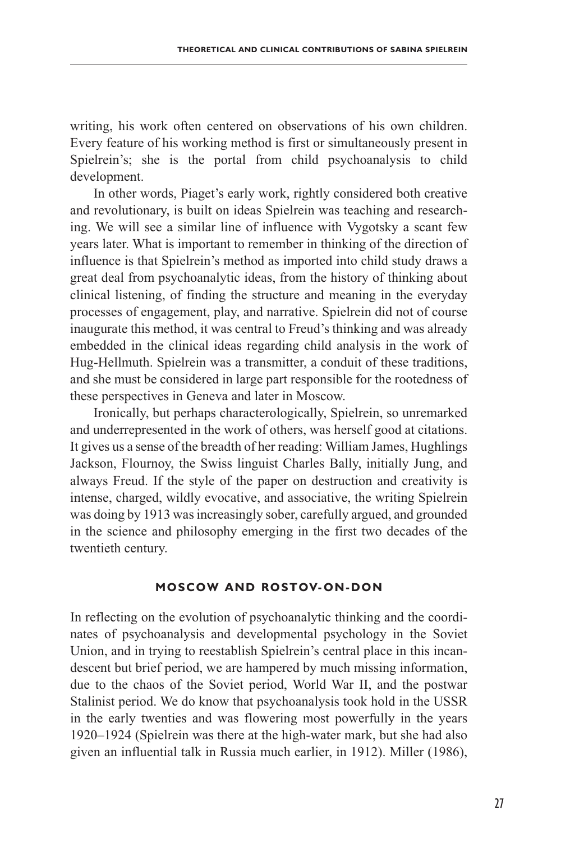writing, his work often centered on observations of his own children. Every feature of his working method is first or simultaneously present in Spielrein's; she is the portal from child psychoanalysis to child development.

In other words, Piaget's early work, rightly considered both creative and revolutionary, is built on ideas Spielrein was teaching and researching. We will see a similar line of influence with Vygotsky a scant few years later. What is important to remember in thinking of the direction of influence is that Spielrein's method as imported into child study draws a great deal from psychoanalytic ideas, from the history of thinking about clinical listening, of finding the structure and meaning in the everyday processes of engagement, play, and narrative. Spielrein did not of course inaugurate this method, it was central to Freud's thinking and was already embedded in the clinical ideas regarding child analysis in the work of Hug-Hellmuth. Spielrein was a transmitter, a conduit of these traditions, and she must be considered in large part responsible for the rootedness of these perspectives in Geneva and later in Moscow.

Ironically, but perhaps characterologically, Spielrein, so unremarked and underrepresented in the work of others, was herself good at citations. It gives us a sense of the breadth of her reading: William James, Hughlings Jackson, Flournoy, the Swiss linguist Charles Bally, initially Jung, and always Freud. If the style of the paper on destruction and creativity is intense, charged, wildly evocative, and associative, the writing Spielrein was doing by 1913 was increasingly sober, carefully argued, and grounded in the science and philosophy emerging in the first two decades of the twentieth century.

#### **Moscow and Rostov- On-Don**

In reflecting on the evolution of psychoanalytic thinking and the coordinates of psychoanalysis and developmental psychology in the Soviet Union, and in trying to reestablish Spielrein's central place in this incandescent but brief period, we are hampered by much missing information, due to the chaos of the Soviet period, World War II, and the postwar Stalinist period. We do know that psychoanalysis took hold in the USSR in the early twenties and was flowering most powerfully in the years 1920–1924 (Spielrein was there at the high-water mark, but she had also given an influential talk in Russia much earlier, in 1912). Miller (1986),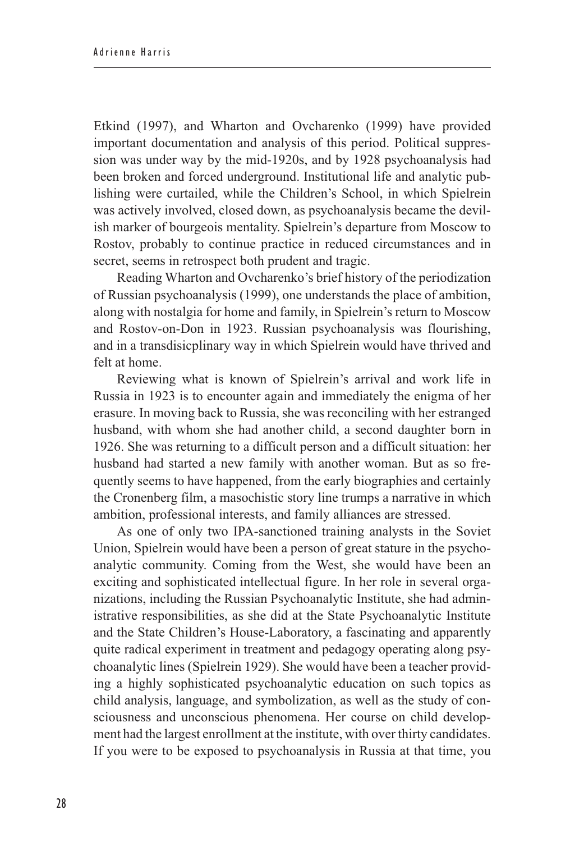Etkind (1997), and Wharton and Ovcharenko (1999) have provided important documentation and analysis of this period. Political suppression was under way by the mid-1920s, and by 1928 psychoanalysis had been broken and forced underground. Institutional life and analytic publishing were curtailed, while the Children's School, in which Spielrein was actively involved, closed down, as psychoanalysis became the devilish marker of bourgeois mentality. Spielrein's departure from Moscow to Rostov, probably to continue practice in reduced circumstances and in secret, seems in retrospect both prudent and tragic.

Reading Wharton and Ovcharenko's brief history of the periodization of Russian psychoanalysis (1999), one understands the place of ambition, along with nostalgia for home and family, in Spielrein's return to Moscow and Rostov-on-Don in 1923. Russian psychoanalysis was flourishing, and in a transdisicplinary way in which Spielrein would have thrived and felt at home.

Reviewing what is known of Spielrein's arrival and work life in Russia in 1923 is to encounter again and immediately the enigma of her erasure. In moving back to Russia, she was reconciling with her estranged husband, with whom she had another child, a second daughter born in 1926. She was returning to a difficult person and a difficult situation: her husband had started a new family with another woman. But as so frequently seems to have happened, from the early biographies and certainly the Cronenberg film, a masochistic story line trumps a narrative in which ambition, professional interests, and family alliances are stressed.

As one of only two IPA-sanctioned training analysts in the Soviet Union, Spielrein would have been a person of great stature in the psychoanalytic community. Coming from the West, she would have been an exciting and sophisticated intellectual figure. In her role in several organizations, including the Russian Psychoanalytic Institute, she had administrative responsibilities, as she did at the State Psychoanalytic Institute and the State Children's House-Laboratory, a fascinating and apparently quite radical experiment in treatment and pedagogy operating along psychoanalytic lines (Spielrein 1929). She would have been a teacher providing a highly sophisticated psychoanalytic education on such topics as child analysis, language, and symbolization, as well as the study of consciousness and unconscious phenomena. Her course on child development had the largest enrollment at the institute, with over thirty candidates. If you were to be exposed to psychoanalysis in Russia at that time, you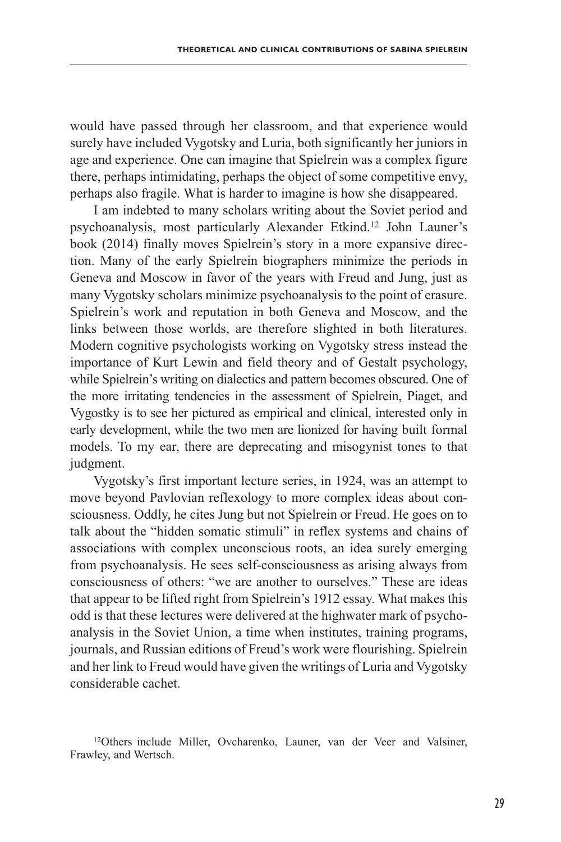would have passed through her classroom, and that experience would surely have included Vygotsky and Luria, both significantly her juniors in age and experience. One can imagine that Spielrein was a complex figure there, perhaps intimidating, perhaps the object of some competitive envy, perhaps also fragile. What is harder to imagine is how she disappeared.

I am indebted to many scholars writing about the Soviet period and psychoanalysis, most particularly Alexander Etkind.12 John Launer's book (2014) finally moves Spielrein's story in a more expansive direction. Many of the early Spielrein biographers minimize the periods in Geneva and Moscow in favor of the years with Freud and Jung, just as many Vygotsky scholars minimize psychoanalysis to the point of erasure. Spielrein's work and reputation in both Geneva and Moscow, and the links between those worlds, are therefore slighted in both literatures. Modern cognitive psychologists working on Vygotsky stress instead the importance of Kurt Lewin and field theory and of Gestalt psychology, while Spielrein's writing on dialectics and pattern becomes obscured. One of the more irritating tendencies in the assessment of Spielrein, Piaget, and Vygostky is to see her pictured as empirical and clinical, interested only in early development, while the two men are lionized for having built formal models. To my ear, there are deprecating and misogynist tones to that judgment.

Vygotsky's first important lecture series, in 1924, was an attempt to move beyond Pavlovian reflexology to more complex ideas about consciousness. Oddly, he cites Jung but not Spielrein or Freud. He goes on to talk about the "hidden somatic stimuli" in reflex systems and chains of associations with complex unconscious roots, an idea surely emerging from psychoanalysis. He sees self-consciousness as arising always from consciousness of others: "we are another to ourselves." These are ideas that appear to be lifted right from Spielrein's 1912 essay. What makes this odd is that these lectures were delivered at the highwater mark of psychoanalysis in the Soviet Union, a time when institutes, training programs, journals, and Russian editions of Freud's work were flourishing. Spielrein and her link to Freud would have given the writings of Luria and Vygotsky considerable cachet.

<sup>12</sup>Others include Miller, Ovcharenko, Launer, van der Veer and Valsiner, Frawley, and Wertsch.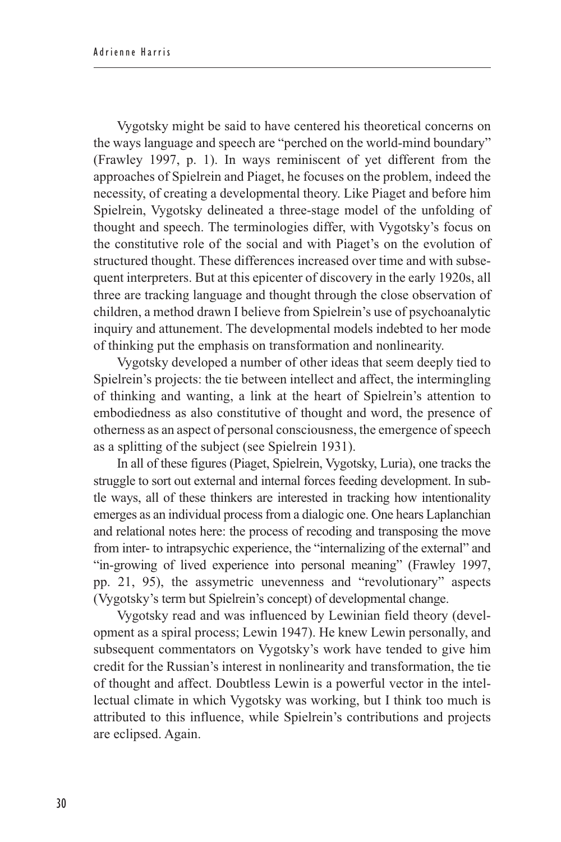Vygotsky might be said to have centered his theoretical concerns on the ways language and speech are "perched on the world-mind boundary" (Frawley 1997, p. 1). In ways reminiscent of yet different from the approaches of Spielrein and Piaget, he focuses on the problem, indeed the necessity, of creating a developmental theory. Like Piaget and before him Spielrein, Vygotsky delineated a three-stage model of the unfolding of thought and speech. The terminologies differ, with Vygotsky's focus on the constitutive role of the social and with Piaget's on the evolution of structured thought. These differences increased over time and with subsequent interpreters. But at this epicenter of discovery in the early 1920s, all three are tracking language and thought through the close observation of children, a method drawn I believe from Spielrein's use of psychoanalytic inquiry and attunement. The developmental models indebted to her mode of thinking put the emphasis on transformation and nonlinearity.

Vygotsky developed a number of other ideas that seem deeply tied to Spielrein's projects: the tie between intellect and affect, the intermingling of thinking and wanting, a link at the heart of Spielrein's attention to embodiedness as also constitutive of thought and word, the presence of otherness as an aspect of personal consciousness, the emergence of speech as a splitting of the subject (see Spielrein 1931).

In all of these figures (Piaget, Spielrein, Vygotsky, Luria), one tracks the struggle to sort out external and internal forces feeding development. In subtle ways, all of these thinkers are interested in tracking how intentionality emerges as an individual process from a dialogic one. One hears Laplanchian and relational notes here: the process of recoding and transposing the move from inter- to intrapsychic experience, the "internalizing of the external" and "in-growing of lived experience into personal meaning" (Frawley 1997, pp. 21, 95), the assymetric unevenness and "revolutionary" aspects (Vygotsky's term but Spielrein's concept) of developmental change.

Vygotsky read and was influenced by Lewinian field theory (development as a spiral process; Lewin 1947). He knew Lewin personally, and subsequent commentators on Vygotsky's work have tended to give him credit for the Russian's interest in nonlinearity and transformation, the tie of thought and affect. Doubtless Lewin is a powerful vector in the intellectual climate in which Vygotsky was working, but I think too much is attributed to this influence, while Spielrein's contributions and projects are eclipsed. Again.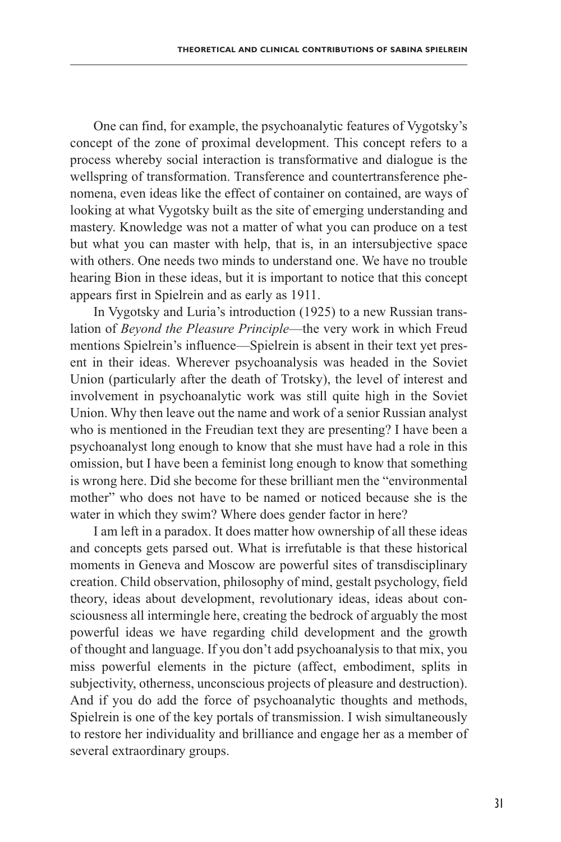One can find, for example, the psychoanalytic features of Vygotsky's concept of the zone of proximal development. This concept refers to a process whereby social interaction is transformative and dialogue is the wellspring of transformation. Transference and countertransference phenomena, even ideas like the effect of container on contained, are ways of looking at what Vygotsky built as the site of emerging understanding and mastery. Knowledge was not a matter of what you can produce on a test but what you can master with help, that is, in an intersubjective space with others. One needs two minds to understand one. We have no trouble hearing Bion in these ideas, but it is important to notice that this concept appears first in Spielrein and as early as 1911.

In Vygotsky and Luria's introduction (1925) to a new Russian translation of *Beyond the Pleasure Principle*—the very work in which Freud mentions Spielrein's influence—Spielrein is absent in their text yet present in their ideas. Wherever psychoanalysis was headed in the Soviet Union (particularly after the death of Trotsky), the level of interest and involvement in psychoanalytic work was still quite high in the Soviet Union. Why then leave out the name and work of a senior Russian analyst who is mentioned in the Freudian text they are presenting? I have been a psychoanalyst long enough to know that she must have had a role in this omission, but I have been a feminist long enough to know that something is wrong here. Did she become for these brilliant men the "environmental mother" who does not have to be named or noticed because she is the water in which they swim? Where does gender factor in here?

I am left in a paradox. It does matter how ownership of all these ideas and concepts gets parsed out. What is irrefutable is that these historical moments in Geneva and Moscow are powerful sites of transdisciplinary creation. Child observation, philosophy of mind, gestalt psychology, field theory, ideas about development, revolutionary ideas, ideas about consciousness all intermingle here, creating the bedrock of arguably the most powerful ideas we have regarding child development and the growth of thought and language. If you don't add psychoanalysis to that mix, you miss powerful elements in the picture (affect, embodiment, splits in subjectivity, otherness, unconscious projects of pleasure and destruction). And if you do add the force of psychoanalytic thoughts and methods, Spielrein is one of the key portals of transmission. I wish simultaneously to restore her individuality and brilliance and engage her as a member of several extraordinary groups.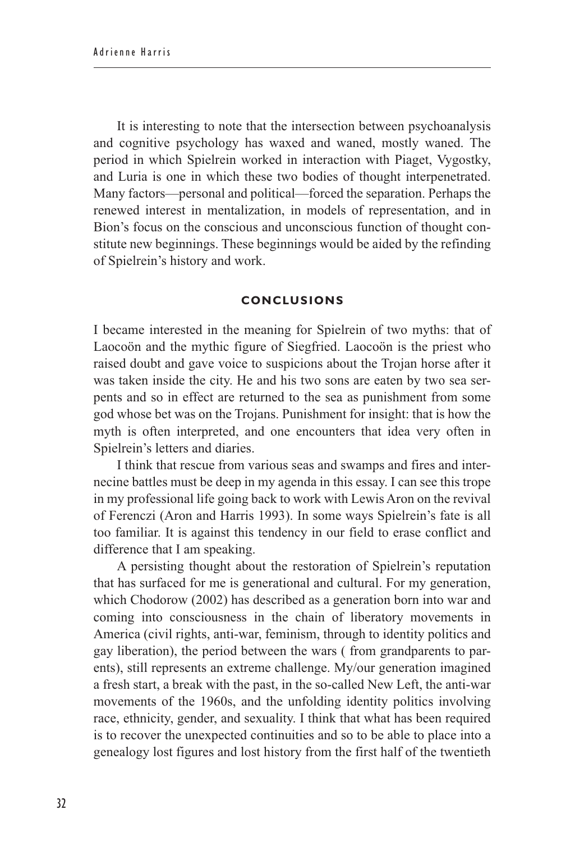It is interesting to note that the intersection between psychoanalysis and cognitive psychology has waxed and waned, mostly waned. The period in which Spielrein worked in interaction with Piaget, Vygostky, and Luria is one in which these two bodies of thought interpenetrated. Many factors—personal and political—forced the separation. Perhaps the renewed interest in mentalization, in models of representation, and in Bion's focus on the conscious and unconscious function of thought constitute new beginnings. These beginnings would be aided by the refinding of Spielrein's history and work.

### **Conclusions**

I became interested in the meaning for Spielrein of two myths: that of Laocoön and the mythic figure of Siegfried. Laocoön is the priest who raised doubt and gave voice to suspicions about the Trojan horse after it was taken inside the city. He and his two sons are eaten by two sea serpents and so in effect are returned to the sea as punishment from some god whose bet was on the Trojans. Punishment for insight: that is how the myth is often interpreted, and one encounters that idea very often in Spielrein's letters and diaries.

I think that rescue from various seas and swamps and fires and internecine battles must be deep in my agenda in this essay. I can see this trope in my professional life going back to work with Lewis Aron on the revival of Ferenczi (Aron and Harris 1993). In some ways Spielrein's fate is all too familiar. It is against this tendency in our field to erase conflict and difference that I am speaking.

A persisting thought about the restoration of Spielrein's reputation that has surfaced for me is generational and cultural. For my generation, which Chodorow (2002) has described as a generation born into war and coming into consciousness in the chain of liberatory movements in America (civil rights, anti-war, feminism, through to identity politics and gay liberation), the period between the wars ( from grandparents to parents), still represents an extreme challenge. My/our generation imagined a fresh start, a break with the past, in the so-called New Left, the anti-war movements of the 1960s, and the unfolding identity politics involving race, ethnicity, gender, and sexuality. I think that what has been required is to recover the unexpected continuities and so to be able to place into a genealogy lost figures and lost history from the first half of the twentieth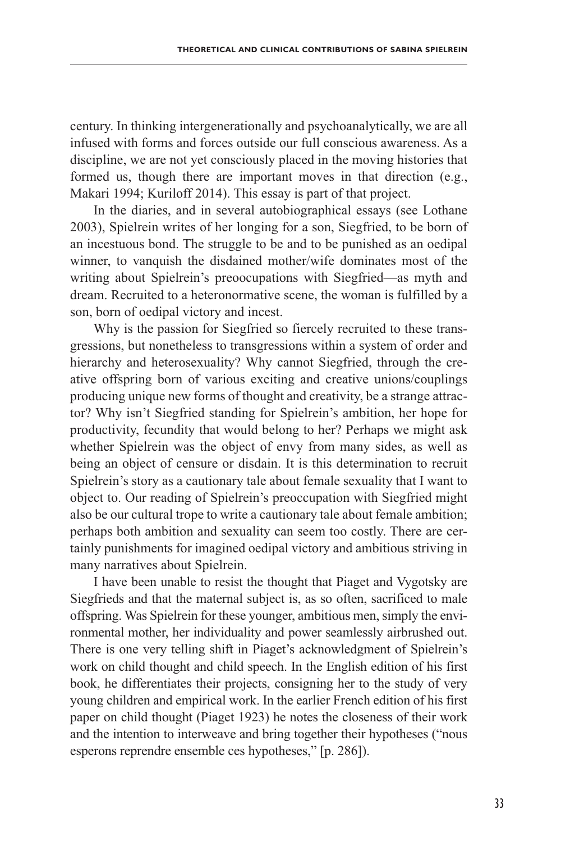century. In thinking intergenerationally and psychoanalytically, we are all infused with forms and forces outside our full conscious awareness. As a discipline, we are not yet consciously placed in the moving histories that formed us, though there are important moves in that direction (e.g., Makari 1994; Kuriloff 2014). This essay is part of that project.

In the diaries, and in several autobiographical essays (see Lothane 2003), Spielrein writes of her longing for a son, Siegfried, to be born of an incestuous bond. The struggle to be and to be punished as an oedipal winner, to vanquish the disdained mother/wife dominates most of the writing about Spielrein's preoocupations with Siegfried—as myth and dream. Recruited to a heteronormative scene, the woman is fulfilled by a son, born of oedipal victory and incest.

Why is the passion for Siegfried so fiercely recruited to these transgressions, but nonetheless to transgressions within a system of order and hierarchy and heterosexuality? Why cannot Siegfried, through the creative offspring born of various exciting and creative unions/couplings producing unique new forms of thought and creativity, be a strange attractor? Why isn't Siegfried standing for Spielrein's ambition, her hope for productivity, fecundity that would belong to her? Perhaps we might ask whether Spielrein was the object of envy from many sides, as well as being an object of censure or disdain. It is this determination to recruit Spielrein's story as a cautionary tale about female sexuality that I want to object to. Our reading of Spielrein's preoccupation with Siegfried might also be our cultural trope to write a cautionary tale about female ambition; perhaps both ambition and sexuality can seem too costly. There are certainly punishments for imagined oedipal victory and ambitious striving in many narratives about Spielrein.

I have been unable to resist the thought that Piaget and Vygotsky are Siegfrieds and that the maternal subject is, as so often, sacrificed to male offspring. Was Spielrein for these younger, ambitious men, simply the environmental mother, her individuality and power seamlessly airbrushed out. There is one very telling shift in Piaget's acknowledgment of Spielrein's work on child thought and child speech. In the English edition of his first book, he differentiates their projects, consigning her to the study of very young children and empirical work. In the earlier French edition of his first paper on child thought (Piaget 1923) he notes the closeness of their work and the intention to interweave and bring together their hypotheses ("nous esperons reprendre ensemble ces hypotheses," [p. 286]).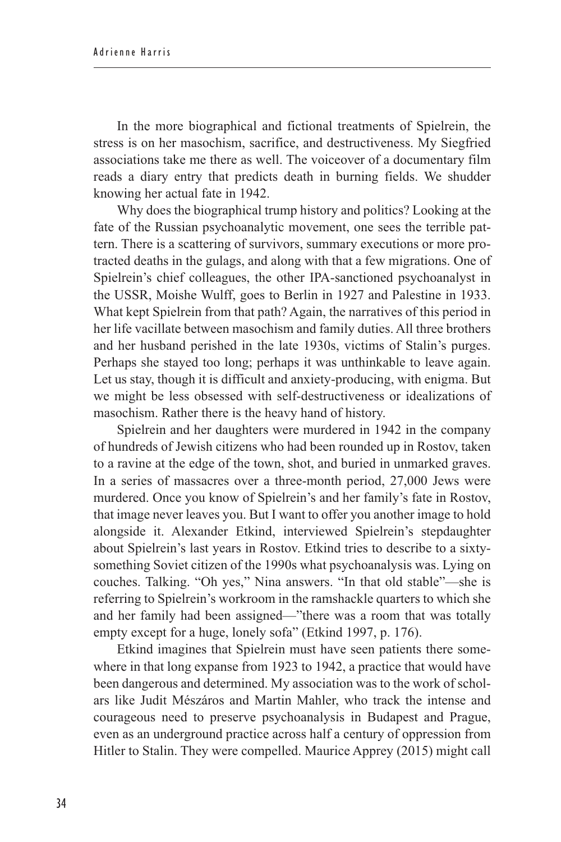In the more biographical and fictional treatments of Spielrein, the stress is on her masochism, sacrifice, and destructiveness. My Siegfried associations take me there as well. The voiceover of a documentary film reads a diary entry that predicts death in burning fields. We shudder knowing her actual fate in 1942.

Why does the biographical trump history and politics? Looking at the fate of the Russian psychoanalytic movement, one sees the terrible pattern. There is a scattering of survivors, summary executions or more protracted deaths in the gulags, and along with that a few migrations. One of Spielrein's chief colleagues, the other IPA-sanctioned psychoanalyst in the USSR, Moishe Wulff, goes to Berlin in 1927 and Palestine in 1933. What kept Spielrein from that path? Again, the narratives of this period in her life vacillate between masochism and family duties. All three brothers and her husband perished in the late 1930s, victims of Stalin's purges. Perhaps she stayed too long; perhaps it was unthinkable to leave again. Let us stay, though it is difficult and anxiety-producing, with enigma. But we might be less obsessed with self-destructiveness or idealizations of masochism. Rather there is the heavy hand of history.

Spielrein and her daughters were murdered in 1942 in the company of hundreds of Jewish citizens who had been rounded up in Rostov, taken to a ravine at the edge of the town, shot, and buried in unmarked graves. In a series of massacres over a three-month period, 27,000 Jews were murdered. Once you know of Spielrein's and her family's fate in Rostov, that image never leaves you. But I want to offer you another image to hold alongside it. Alexander Etkind, interviewed Spielrein's stepdaughter about Spielrein's last years in Rostov. Etkind tries to describe to a sixtysomething Soviet citizen of the 1990s what psychoanalysis was. Lying on couches. Talking. "Oh yes," Nina answers. "In that old stable"—she is referring to Spielrein's workroom in the ramshackle quarters to which she and her family had been assigned—"there was a room that was totally empty except for a huge, lonely sofa" (Etkind 1997, p. 176).

Etkind imagines that Spielrein must have seen patients there somewhere in that long expanse from 1923 to 1942, a practice that would have been dangerous and determined. My association was to the work of scholars like Judit Mészáros and Martin Mahler, who track the intense and courageous need to preserve psychoanalysis in Budapest and Prague, even as an underground practice across half a century of oppression from Hitler to Stalin. They were compelled. Maurice Apprey (2015) might call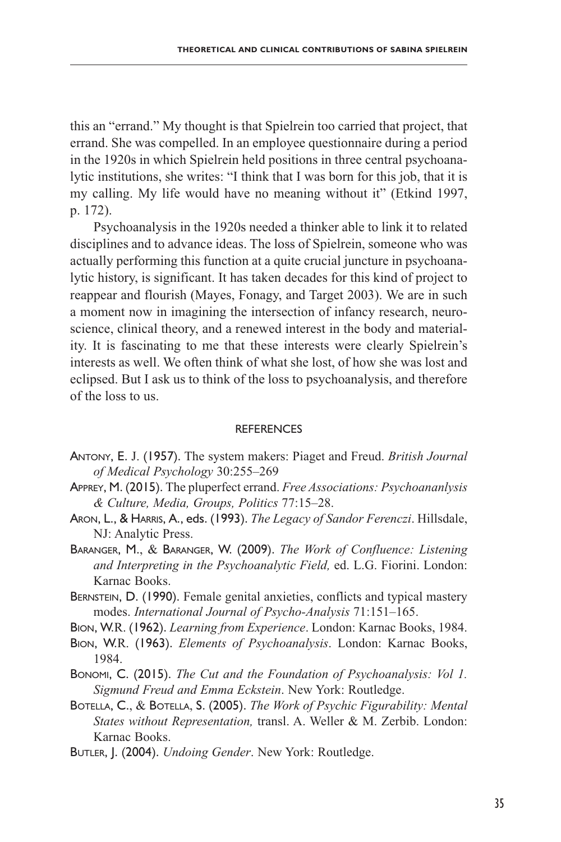this an "errand." My thought is that Spielrein too carried that project, that errand. She was compelled. In an employee questionnaire during a period in the 1920s in which Spielrein held positions in three central psychoanalytic institutions, she writes: "I think that I was born for this job, that it is my calling. My life would have no meaning without it" (Etkind 1997, p. 172).

Psychoanalysis in the 1920s needed a thinker able to link it to related disciplines and to advance ideas. The loss of Spielrein, someone who was actually performing this function at a quite crucial juncture in psychoanalytic history, is significant. It has taken decades for this kind of project to reappear and flourish (Mayes, Fonagy, and Target 2003). We are in such a moment now in imagining the intersection of infancy research, neuroscience, clinical theory, and a renewed interest in the body and materiality. It is fascinating to me that these interests were clearly Spielrein's interests as well. We often think of what she lost, of how she was lost and eclipsed. But I ask us to think of the loss to psychoanalysis, and therefore of the loss to us.

#### **REFERENCES**

- Antony, E. J. (1957). The system makers: Piaget and Freud. *British Journal of Medical Psychology* 30:255–269
- Apprey, M. (2015). The pluperfect errand. *Free Associations: Psychoananlysis & Culture, Media, Groups, Politics* 77:15–28.
- Aron, L., & Harris, A., eds. (1993). *The Legacy of Sandor Ferenczi*. Hillsdale, NJ: Analytic Press.
- Baranger, M., & Baranger, W. (2009). *The Work of Confluence: Listening and Interpreting in the Psychoanalytic Field,* ed. L.G. Fiorini. London: Karnac Books.
- BERNSTEIN, D. (1990). Female genital anxieties, conflicts and typical mastery modes. *International Journal of Psycho-Analysis* 71:151–165.
- Bion, W.R. (1962). *Learning from Experience*. London: Karnac Books, 1984.
- Bion, W.R. (1963). *Elements of Psychoanalysis*. London: Karnac Books, 1984.
- Bonomi, C. (2015). *The Cut and the Foundation of Psychoanalysis: Vol 1. Sigmund Freud and Emma Eckstein*. New York: Routledge.
- Botella, C., & Botella, S. (2005). *The Work of Psychic Figurability: Mental States without Representation,* transl. A. Weller & M. Zerbib. London: Karnac Books.
- Butler, J. (2004). *Undoing Gender*. New York: Routledge.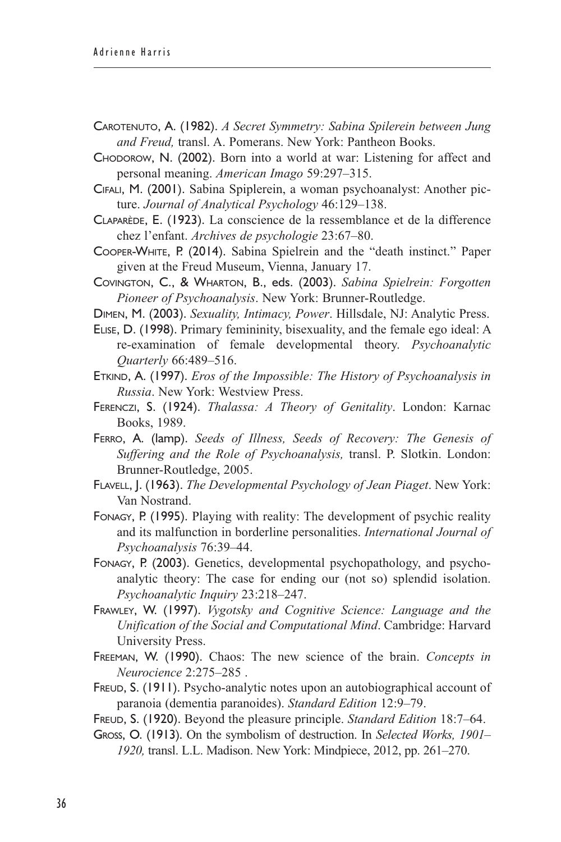- Carotenuto, A. (1982). *A Secret Symmetry: Sabina Spilerein between Jung and Freud,* transl. A. Pomerans. New York: Pantheon Books.
- Chodorow, N. (2002). Born into a world at war: Listening for affect and personal meaning. *American Imago* 59:297–315.
- Cifali, M. (2001). Sabina Spiplerein, a woman psychoanalyst: Another picture. *Journal of Analytical Psychology* 46:129–138.
- Claparède, E. (1923). La conscience de la ressemblance et de la difference chez l'enfant. *Archives de psychologie* 23:67–80.
- Cooper-White, P. (2014). Sabina Spielrein and the "death instinct." Paper given at the Freud Museum, Vienna, January 17.
- Covington, C., & Wharton, B., eds. (2003). *Sabina Spielrein: Forgotten Pioneer of Psychoanalysis*. New York: Brunner-Routledge.
- Dimen, M. (2003). *Sexuality, Intimacy, Power*. Hillsdale, NJ: Analytic Press.
- Elise, D. (1998). Primary femininity, bisexuality, and the female ego ideal: A re-examination of female developmental theory. *Psychoanalytic Quarterly* 66:489–516.
- Etkind, A. (1997). *Eros of the Impossible: The History of Psychoanalysis in Russia*. New York: Westview Press.
- Ferenczi, S. (1924). *Thalassa: A Theory of Genitality*. London: Karnac Books, 1989.
- Ferro, A. (lamp). *Seeds of Illness, Seeds of Recovery: The Genesis of Suffering and the Role of Psychoanalysis,* transl. P. Slotkin. London: Brunner-Routledge, 2005.
- Flavell, J. (1963). *The Developmental Psychology of Jean Piaget*. New York: Van Nostrand.
- Fonagy, P. (1995). Playing with reality: The development of psychic reality and its malfunction in borderline personalities. *International Journal of Psychoanalysis* 76:39–44.
- Fonagy, P. (2003). Genetics, developmental psychopathology, and psychoanalytic theory: The case for ending our (not so) splendid isolation. *Psychoanalytic Inquiry* 23:218–247.
- Frawley, W. (1997). *Vygotsky and Cognitive Science: Language and the Unification of the Social and Computational Mind*. Cambridge: Harvard University Press.
- Freeman, W. (1990). Chaos: The new science of the brain. *Concepts in Neurocience* 2:275–285 .
- FREUD, S. (1911). Psycho-analytic notes upon an autobiographical account of paranoia (dementia paranoides). *Standard Edition* 12:9–79.
- Freud, S. (1920). Beyond the pleasure principle. *Standard Edition* 18:7–64.
- Gross, O. (1913). On the symbolism of destruction. In *Selected Works, 1901– 1920,* transl. L.L. Madison. New York: Mindpiece, 2012, pp. 261–270.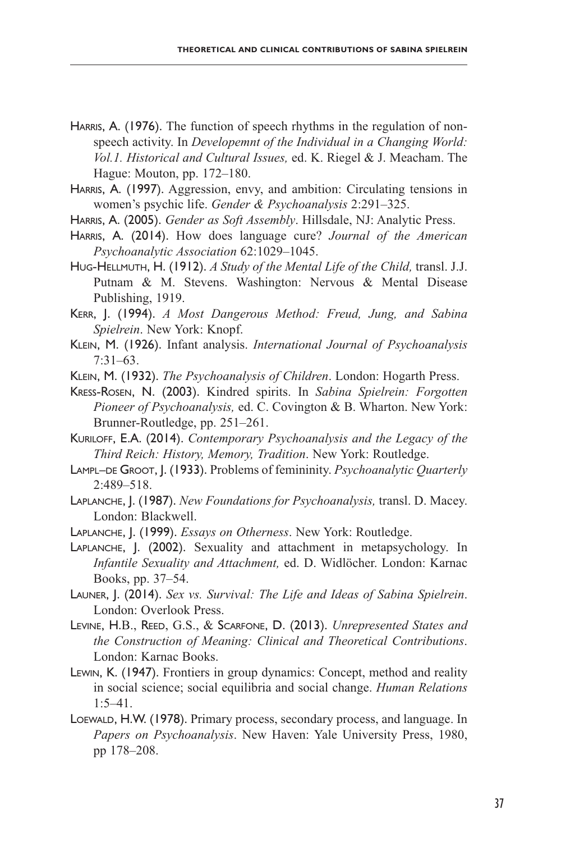- HARRIS, A. (1976). The function of speech rhythms in the regulation of nonspeech activity. In *Developemnt of the Individual in a Changing World: Vol.1. Historical and Cultural Issues,* ed. K. Riegel & J. Meacham. The Hague: Mouton, pp. 172–180.
- HARRIS, A. (1997). Aggression, envy, and ambition: Circulating tensions in women's psychic life. *Gender & Psychoanalysis* 2:291–325.
- Harris, A. (2005). *Gender as Soft Assembly*. Hillsdale, NJ: Analytic Press.
- Harris, A. (2014). How does language cure? *Journal of the American Psychoanalytic Association* 62:1029–1045.
- Hug-Hellmuth, H. (1912). *A Study of the Mental Life of the Child,* transl. J.J. Putnam & M. Stevens. Washington: Nervous & Mental Disease Publishing, 1919.
- Kerr, J. (1994). *A Most Dangerous Method: Freud, Jung, and Sabina Spielrein*. New York: Knopf.
- Klein, M. (1926). Infant analysis. *International Journal of Psychoanalysis* 7:31–63.
- Klein, M. (1932). *The Psychoanalysis of Children*. London: Hogarth Press.
- Kress-Rosen, N. (2003). Kindred spirits. In *Sabina Spielrein: Forgotten Pioneer of Psychoanalysis,* ed. C. Covington & B. Wharton. New York: Brunner-Routledge, pp. 251–261.

Kuriloff, E.A. (2014). *Contemporary Psychoanalysis and the Legacy of the Third Reich: History, Memory, Tradition*. New York: Routledge.

- LAMPL–DE GROOT, J. (1933). Problems of femininity. *Psychoanalytic Quarterly* 2:489–518.
- Laplanche, J. (1987). *New Foundations for Psychoanalysis,* transl. D. Macey. London: Blackwell.
- Laplanche, J. (1999). *Essays on Otherness*. New York: Routledge.
- Laplanche, J. (2002). Sexuality and attachment in metapsychology. In *Infantile Sexuality and Attachment,* ed. D. Widlöcher. London: Karnac Books, pp. 37–54.
- Launer, J. (2014). *Sex vs. Survival: The Life and Ideas of Sabina Spielrein*. London: Overlook Press.
- Levine, H.B., Reed, G.S., & Scarfone, D. (2013). *Unrepresented States and the Construction of Meaning: Clinical and Theoretical Contributions*. London: Karnac Books.
- Lewin, K. (1947). Frontiers in group dynamics: Concept, method and reality in social science; social equilibria and social change. *Human Relations* 1:5–41.
- LOEWALD, H.W. (1978). Primary process, secondary process, and language. In *Papers on Psychoanalysis*. New Haven: Yale University Press, 1980, pp 178–208.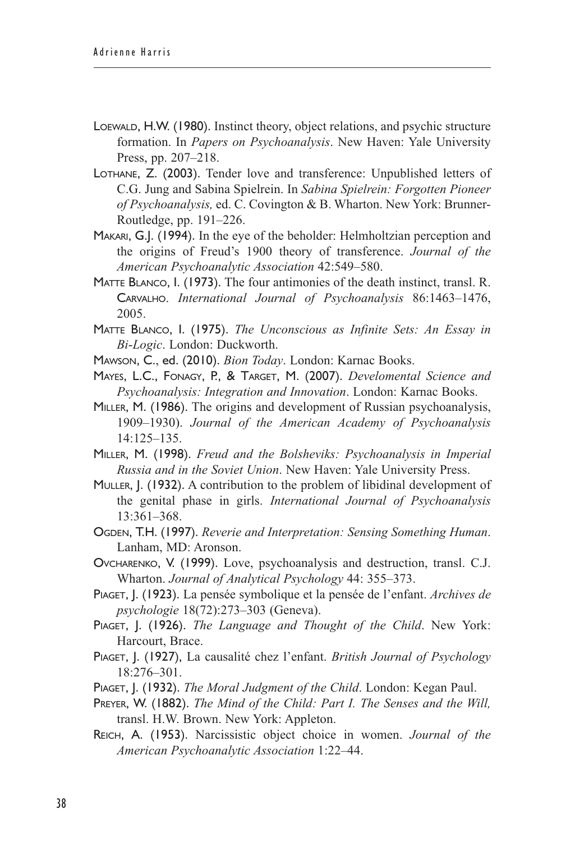- Loewald, H.W. (1980). Instinct theory, object relations, and psychic structure formation. In *Papers on Psychoanalysis*. New Haven: Yale University Press, pp. 207–218.
- Lothane, Z. (2003). Tender love and transference: Unpublished letters of C.G. Jung and Sabina Spielrein. In *Sabina Spielrein: Forgotten Pioneer of Psychoanalysis,* ed. C. Covington & B. Wharton. New York: Brunner-Routledge, pp. 191–226.
- Makari, G.J. (1994). In the eye of the beholder: Helmholtzian perception and the origins of Freud's 1900 theory of transference. *Journal of the American Psychoanalytic Association* 42:549–580.
- Matte Blanco, I. (1973). The four antimonies of the death instinct, transl. R. Carvalho. *International Journal of Psychoanalysis* 86:1463–1476, 2005.
- Matte Blanco, I. (1975). *The Unconscious as Infinite Sets: An Essay in Bi*-*Logic*. London: Duckworth.
- Mawson, C., ed. (2010). *Bion Today*. London: Karnac Books.
- Mayes, L.C., Fonagy, P., & Target, M. (2007). *Develomental Science and Psychoanalysis: Integration and Innovation*. London: Karnac Books.
- Miller, M. (1986). The origins and development of Russian psychoanalysis, 1909–1930). *Journal of the American Academy of Psychoanalysis* 14:125–135.
- Miller, M. (1998). *Freud and the Bolsheviks: Psychoanalysis in Imperial Russia and in the Soviet Union*. New Haven: Yale University Press.
- Muller, J. (1932). A contribution to the problem of libidinal development of the genital phase in girls. *International Journal of Psychoanalysis* 13:361–368.
- Ogden, T.H. (1997). *Reverie and Interpretation: Sensing Something Human*. Lanham, MD: Aronson.
- Ovcharenko, V. (1999). Love, psychoanalysis and destruction, transl. C.J. Wharton. *Journal of Analytical Psychology* 44: 355–373.
- Piaget, J. (1923). La pensée symbolique et la pensée de l'enfant. *Archives de psychologie* 18(72):273–303 (Geneva).
- Piaget, J. (1926). *The Language and Thought of the Child*. New York: Harcourt, Brace.
- Piaget, J. (1927), La causalité chez l'enfant. *British Journal of Psychology* 18:276–301.
- PIAGET, J. (1932). *The Moral Judgment of the Child*. London: Kegan Paul.
- Preyer, W. (1882). *The Mind of the Child: Part I. The Senses and the Will,* transl. H.W. Brown. New York: Appleton.
- Reich, A. (1953). Narcissistic object choice in women. *Journal of the American Psychoanalytic Association* 1:22–44.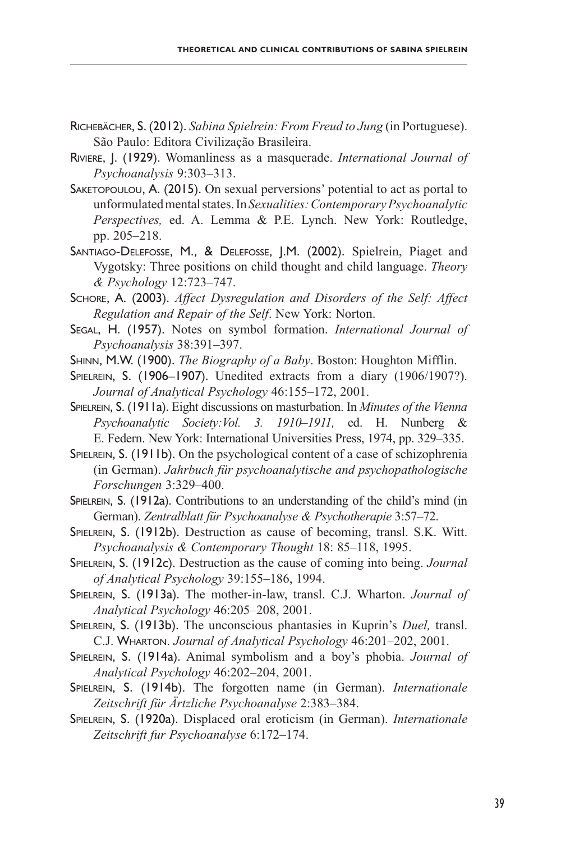- Richebächer, S. (2012). *Sabina Spielrein: From Freud to Jung* (in Portuguese). São Paulo: Editora Civilização Brasileira.
- Riviere, J. (1929). Womanliness as a masquerade. *International Journal of Psychoanalysis* 9:303–313.
- Saketopoulou, A. (2015). On sexual perversions' potential to act as portal to unformulated mental states. In *Sexualities: Contemporary Psychoanalytic Perspectives,* ed. A. Lemma & P.E. Lynch. New York: Routledge, pp. 205–218.
- Santiago-Delefosse, M., & Delefosse, J.M. (2002). Spielrein, Piaget and Vygotsky: Three positions on child thought and child language. *Theory & Psychology* 12:723–747.
- Schore, A. (2003). *Affect Dysregulation and Disorders of the Self: Affect Regulation and Repair of the Self*. New York: Norton.
- Segal, H. (1957). Notes on symbol formation. *International Journal of Psychoanalysis* 38:391–397.
- Shinn, M.W. (1900). *The Biography of a Baby*. Boston: Houghton Mifflin.
- Spielrein, S. (1906–1907). Unedited extracts from a diary (1906/1907?). *Journal of Analytical Psychology* 46:155–172, 2001.

Spielrein, S. (1911a). Eight discussions on masturbation. In *Minutes of the Vienna Psychoanalytic Society:Vol. 3. 1910–1911,* ed. H. Nunberg & E. Federn. New York: International Universities Press, 1974, pp. 329–335.

Spielrein, S. (1911b). On the psychological content of a case of schizophrenia (in German). *Jahrbuch für psychoanalytische and psychopathologische Forschungen* 3:329–400.

SPIELREIN, S. (1912a). Contributions to an understanding of the child's mind (in German). *Zentralblatt für Psychoanalyse & Psychotherapie* 3:57–72.

Spielrein, S. (1912b). Destruction as cause of becoming, transl. S.K. Witt. *Psychoanalysis & Contemporary Thought* 18: 85–118, 1995.

Spielrein, S. (1912c). Destruction as the cause of coming into being. *Journal of Analytical Psychology* 39:155–186, 1994.

Spielrein, S. (1913a). The mother-in-law, transl. C.J. Wharton. *Journal of Analytical Psychology* 46:205–208, 2001.

Spielrein, S. (1913b). The unconscious phantasies in Kuprin's *Duel,* transl. C.J. Wharton. *Journal of Analytical Psychology* 46:201–202, 2001.

- Spielrein, S. (1914a). Animal symbolism and a boy's phobia. *Journal of Analytical Psychology* 46:202–204, 2001.
- Spielrein, S. (1914b). The forgotten name (in German). *Internationale Zeitschrift für Ärtzliche Psychoanalyse* 2:383–384.
- Spielrein, S. (1920a). Displaced oral eroticism (in German). *Internationale Zeitschrift fur Psychoanalyse* 6:172–174.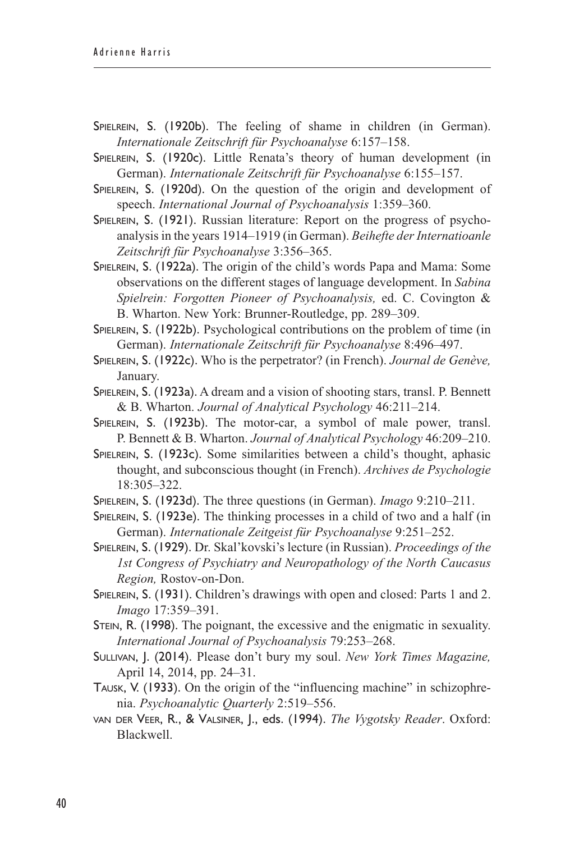- SPIELREIN, S. (1920b). The feeling of shame in children (in German). *Internationale Zeitschrift für Psychoanalyse* 6:157–158.
- Spielrein, S. (1920c). Little Renata's theory of human development (in German). *Internationale Zeitschrift für Psychoanalyse* 6:155–157.
- Spielrein, S. (1920d). On the question of the origin and development of speech. *International Journal of Psychoanalysis* 1:359–360.
- Spielrein, S. (1921). Russian literature: Report on the progress of psychoanalysis in the years 1914–1919 (in German). *Beihefte der Internatioanle Zeitschrift für Psychoanalyse* 3:356–365.
- Spielrein, S. (1922a). The origin of the child's words Papa and Mama: Some observations on the different stages of language development. In *Sabina Spielrein: Forgotten Pioneer of Psychoanalysis,* ed. C. Covington & B. Wharton. New York: Brunner-Routledge, pp. 289–309.
- Spielrein, S. (1922b). Psychological contributions on the problem of time (in German). *Internationale Zeitschrift für Psychoanalyse* 8:496–497.
- Spielrein, S. (1922c). Who is the perpetrator? (in French). *Journal de Genève,* January.
- Spielrein, S. (1923a). A dream and a vision of shooting stars, transl. P. Bennett & B. Wharton. *Journal of Analytical Psychology* 46:211–214.
- SPIELREIN, S. (1923b). The motor-car, a symbol of male power, transl. P. Bennett & B. Wharton. *Journal of Analytical Psychology* 46:209–210.
- Spielrein, S. (1923c). Some similarities between a child's thought, aphasic thought, and subconscious thought (in French). *Archives de Psychologie* 18:305–322.
- Spielrein, S. (1923d). The three questions (in German). *Imago* 9:210–211.
- Spielrein, S. (1923e). The thinking processes in a child of two and a half (in German). *Internationale Zeitgeist für Psychoanalyse* 9:251–252.
- Spielrein, S. (1929). Dr. Skal'kovski's lecture (in Russian). *Proceedings of the 1st Congress of Psychiatry and Neuropathology of the North Caucasus Region,* Rostov-on-Don.
- Spielrein, S. (1931). Children's drawings with open and closed: Parts 1 and 2. *Imago* 17:359–391.
- Stein, R. (1998). The poignant, the excessive and the enigmatic in sexuality. *International Journal of Psychoanalysis* 79:253–268.
- Sullivan, J. (2014). Please don't bury my soul. *New York Times Magazine,* April 14, 2014, pp. 24–31.
- Tausk, V. (1933). On the origin of the "influencing machine" in schizophrenia. *Psychoanalytic Quarterly* 2:519–556.
- van der Veer, R., & Valsiner, J., eds. (1994). *The Vygotsky Reader*. Oxford: Blackwell.